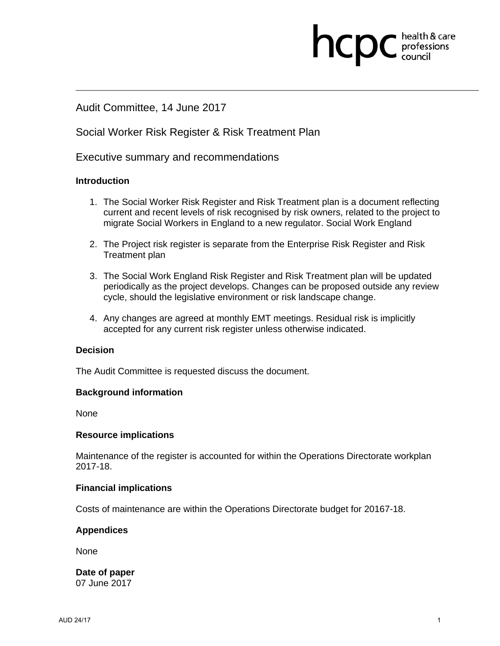# Audit Committee, 14 June 2017

## Social Worker Risk Register & Risk Treatment Plan

Executive summary and recommendations

### **Introduction**

1. The Social Worker Risk Register and Risk Treatment plan is a document reflecting current and recent levels of risk recognised by risk owners, related to the project to migrate Social Workers in England to a new regulator. Social Work England

**health & care** 

- 2. The Project risk register is separate from the Enterprise Risk Register and Risk Treatment plan
- 3. The Social Work England Risk Register and Risk Treatment plan will be updated periodically as the project develops. Changes can be proposed outside any review cycle, should the legislative environment or risk landscape change.
- 4. Any changes are agreed at monthly EMT meetings. Residual risk is implicitly accepted for any current risk register unless otherwise indicated.

#### **Decision**

The Audit Committee is requested discuss the document.

#### **Background information**

None

#### **Resource implications**

Maintenance of the register is accounted for within the Operations Directorate workplan 2017-18.

#### **Financial implications**

Costs of maintenance are within the Operations Directorate budget for 20167-18.

#### **Appendices**

None

**Date of paper**  07 June 2017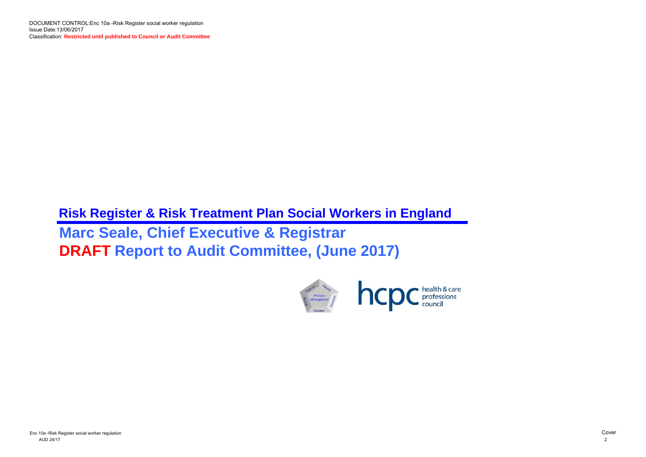

# **Risk Register & Risk Treatment Plan Social Workers in England Marc Seale, Chief Executive & Registrar DRAFT Report to Audit Committee, (June 2017)**

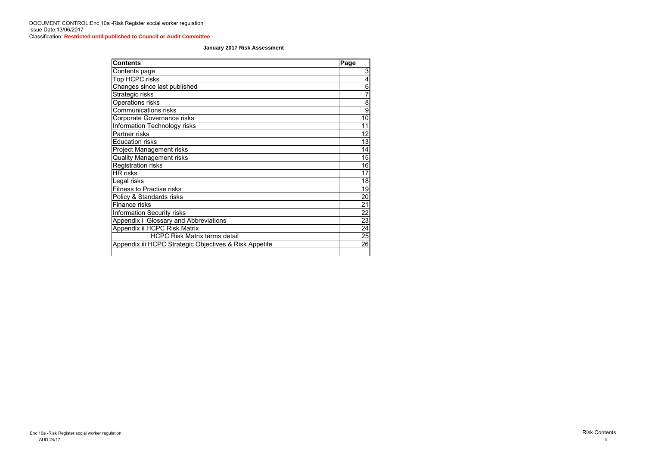| <b>Contents</b>                                        | Page                    |
|--------------------------------------------------------|-------------------------|
| Contents page                                          | 3                       |
| Top HCPC risks                                         | $\overline{\mathbf{4}}$ |
| Changes since last published                           | $\overline{6}$          |
| Strategic risks                                        | $\overline{7}$          |
| <b>Operations risks</b>                                | 8                       |
| <b>Communications risks</b>                            | $\overline{9}$          |
| Corporate Governance risks                             | 10 <sup>1</sup>         |
| Information Technology risks                           | 11                      |
| Partner risks                                          | 12                      |
| <b>Education risks</b>                                 | 13                      |
| <b>Project Management risks</b>                        | 14                      |
| <b>Quality Management risks</b>                        | 15                      |
| <b>Registration risks</b>                              | 16                      |
| <b>HR</b> risks                                        | 17                      |
| Legal risks                                            | 18                      |
| <b>Fitness to Practise risks</b>                       | 19                      |
| Policy & Standards risks                               | 20                      |
| Finance risks                                          | 21                      |
| <b>Information Security risks</b>                      | 22                      |
| Appendix i Glossary and Abbreviations                  | 23                      |
| Appendix ii HCPC Risk Matrix                           | 24                      |
| <b>HCPC Risk Matrix terms detail</b>                   | 25                      |
| Appendix iii HCPC Strategic Objectives & Risk Appetite | 26                      |
|                                                        |                         |

### **January 2017 Risk Assessment**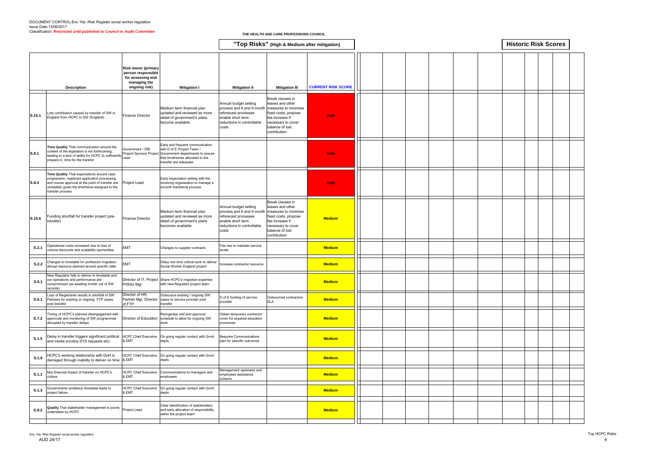|        |                                                                                                                                                                                                                         |                                                                                                        |                                                                                                                                                                                         |                                                                                                                                                             | "Top Risks" (High & Medium after mitigation)                                                                                                                     |                           |  |  |  |  | <b>Historic Risk Scores</b> |
|--------|-------------------------------------------------------------------------------------------------------------------------------------------------------------------------------------------------------------------------|--------------------------------------------------------------------------------------------------------|-----------------------------------------------------------------------------------------------------------------------------------------------------------------------------------------|-------------------------------------------------------------------------------------------------------------------------------------------------------------|------------------------------------------------------------------------------------------------------------------------------------------------------------------|---------------------------|--|--|--|--|-----------------------------|
|        | <b>Description</b>                                                                                                                                                                                                      | <b>Risk owner (primary</b><br>person responsible<br>for assessing and<br>managing the<br>ongoing risk) | <b>Mitigation I</b>                                                                                                                                                                     | <b>Mitigation II</b>                                                                                                                                        | <b>Mitigation III</b>                                                                                                                                            | <b>CURRENT RISK SCORE</b> |  |  |  |  |                             |
| S.15.1 | ost contribution caused by transfer of SW in<br>England from HCPC to SW (England)                                                                                                                                       | <b>Finance Director</b>                                                                                | Medium term financial plan<br>updated and reviewed as more<br>detail of government's plans<br>become available                                                                          | Annual budget setting<br>process and 6 and 9 month<br>reforecast processes<br>enable short term<br>reductions in controllable<br>costs                      | Break clauses in<br>leases and other<br>measures to minimise<br>fixed costs; propose<br>fee increase if<br>necessary to cover<br>balance of lost<br>contribution | <b>High</b>               |  |  |  |  |                             |
| S.8.1  | Time Quality That communication around the<br>content of the legislation is not forthcoming,<br>leading to a lack of ability for HCPC to sufficiently Lead<br>prepare in time for the transfer                          | Government / DfE;                                                                                      | Early and frequent communication<br>with D of E Project Team /<br>Project Sponsor Project Government departments to ensure<br>that timeframes allocated to the<br>transfer are adequate |                                                                                                                                                             |                                                                                                                                                                  | <b>High</b>               |  |  |  |  |                             |
| S.8.4  | Time Quality That expectations around case<br>progression, registrant application processing<br>and course approval at the point of transfer are<br>unrealistic given the timeframe assigned to the<br>transfer process | Project Lead                                                                                           | Early expectation setting with the<br>receiving organisation to manage a<br>smooth transferral process                                                                                  |                                                                                                                                                             |                                                                                                                                                                  | <b>High</b>               |  |  |  |  |                             |
| S.15.6 | unding shortfall for transfer project (pre-<br>transfer)                                                                                                                                                                | <b>Finance Director</b>                                                                                | Medium term financial plan<br>updated and reviewed as more<br>detail of government's plans<br>becomes available                                                                         | Annual budget setting<br>process and 6 and 9 month measures to minimise<br>reforecast processes<br>enable short term<br>reductions in controllable<br>costs | Break clauses in<br>leases and other<br>fixed costs; propose<br>fee increase if<br>necessary to cover<br>balance of lost<br>contribution                         | <b>Medium</b>             |  |  |  |  |                             |
| S.2.1  | Operational costs increased due to loss of<br>volume discounts and scalability oportunities                                                                                                                             | <b>EMT</b>                                                                                             | Changes to supplier contracts                                                                                                                                                           | Fee rise to maintain service<br>levels                                                                                                                      |                                                                                                                                                                  | <b>Medium</b>             |  |  |  |  |                             |
| S.2.2  | Changes to timetable for profession migration<br>disrupt resource planned around specific date                                                                                                                          | <b>EMT</b>                                                                                             | Delay non time critical work to deliver<br>Social Worker England project                                                                                                                | Increase contractor resource                                                                                                                                |                                                                                                                                                                  | <b>Medium</b>             |  |  |  |  |                             |
| S.5.1  | New Regulator fails to deliver to timetable and<br>our operations and performance are<br>compromised (as awaiting trnsfer out of SW<br>records)                                                                         | Prtfolio Mgr                                                                                           | Director of IT, Project Share HCPC's migration expertise<br>with new Regulator project team                                                                                             |                                                                                                                                                             |                                                                                                                                                                  | <b>Medium</b>             |  |  |  |  |                             |
| S.6.1  | Loss of Registrants results in shortfall of SW<br>Partners for existing or ongoing FTP cases,<br>post transfer                                                                                                          | Director of HR,<br>Partner Mgr, Director<br>of FTP                                                     | Outsource existing / ongoing SW<br>cases to service provider post<br>transfer                                                                                                           | D of E funding of service<br>provider                                                                                                                       | Outsourced contractors<br><b>SLA</b>                                                                                                                             | <b>Medium</b>             |  |  |  |  |                             |
| S.7.2  | Fiming of HCPC's planned disengagement with<br>approvals and monitoring of SW programmes<br>disrupted by transfer delays                                                                                                | Director of Education                                                                                  | Reorganise visit and approval<br>schedule to allow for ongoing SW<br>work.                                                                                                              | Obtain temporary contractor<br>cover for required education<br>processes                                                                                    |                                                                                                                                                                  | <b>Medium</b>             |  |  |  |  |                             |
| S.1.5  | Delay in transfer triggers significant political<br>and media scrutiny (FOI requests etc)                                                                                                                               | <b>HCPC Chief Executive</b><br>& EMT                                                                   | On going regular contact with Gvmt<br>depts                                                                                                                                             | <b>Bespoke Communications</b><br>plan for specific outcomes                                                                                                 |                                                                                                                                                                  | <b>Medium</b>             |  |  |  |  |                             |
| S.1.6  | HCPC's working relationship with DoH is<br>damaged through inability to deliver on time                                                                                                                                 | <b>HCPC Chief Executive</b><br>& EMT                                                                   | On going regular contact with Gvmt<br>depts                                                                                                                                             |                                                                                                                                                             |                                                                                                                                                                  | <b>Medium</b>             |  |  |  |  |                             |
| S.1.1  | Non financial impact of transfer on HCPC's<br>culture                                                                                                                                                                   | <b>HCPC Chief Executive</b><br>& EMT                                                                   | Communications to managers and<br>employees                                                                                                                                             | Management openness and<br>employees assistance<br>scheme                                                                                                   |                                                                                                                                                                  | <b>Medium</b>             |  |  |  |  |                             |
| S.1.3  | Governments ambitious timetable leads to<br>project failure.                                                                                                                                                            | <b>HCPC Chief Executive</b><br>& EMT                                                                   | On going regular contact with Gvmt<br>depts                                                                                                                                             |                                                                                                                                                             |                                                                                                                                                                  | <b>Medium</b>             |  |  |  |  |                             |
| S.8.2  | Quality That stakeholder management is poorly<br>undertaken by HCPC                                                                                                                                                     | Project Lead                                                                                           | Clear idenitifcation of stakeholders<br>and early allocation of responsibility<br>within the project team                                                                               |                                                                                                                                                             |                                                                                                                                                                  | <b>Medium</b>             |  |  |  |  |                             |
|        |                                                                                                                                                                                                                         |                                                                                                        |                                                                                                                                                                                         |                                                                                                                                                             |                                                                                                                                                                  |                           |  |  |  |  |                             |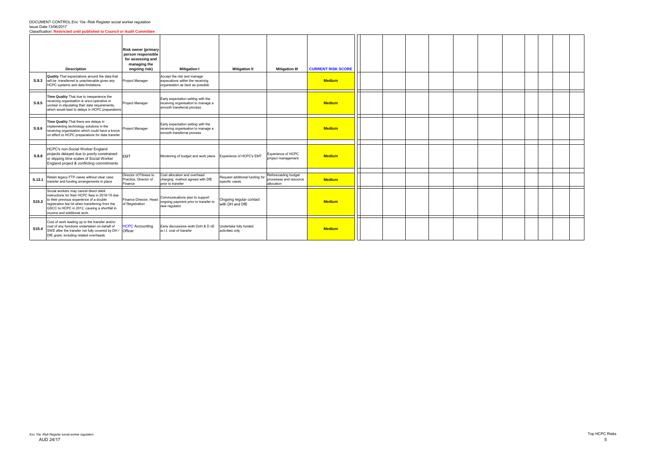#### DOCUMENT CONTROL:Enc 10a -Risk Register social worker regulation Issue Date:13/06/2017 Classification: **Restricted until published to Council or Audit Committee**

|                   | <b>Description</b>                                                                                                                                                                                                                                                      | <b>Risk owner (primary</b><br>person responsible<br>for assessing and<br>managing the<br>ongoing risk) | <b>Mitigation I</b>                                                                                    | <b>Mitigation II</b>                             | <b>Mitigation III</b>                                        | <b>CURRENT RISK SCORE</b> |  |  |  |  |
|-------------------|-------------------------------------------------------------------------------------------------------------------------------------------------------------------------------------------------------------------------------------------------------------------------|--------------------------------------------------------------------------------------------------------|--------------------------------------------------------------------------------------------------------|--------------------------------------------------|--------------------------------------------------------------|---------------------------|--|--|--|--|
| S.8.3             | <b>Quality</b> That expectations around the data that<br>will be transferred is unachievable given any<br>HCPC systems and data limitations                                                                                                                             | <b>Project Manager</b>                                                                                 | Accept the risk and manage<br>expecations within the receiving<br>organisation as best as possible     |                                                  |                                                              | <b>Medium</b>             |  |  |  |  |
| S.8.5             | Time Quality That due to inexperience the<br>eceiving organisation is unco-operative or<br>unclear in stipulating their data requirements,<br>which would lead to delays in HCPC preparations                                                                           | <b>Project Manager</b>                                                                                 | Early expectation setting with the<br>receiving organisation to manage a<br>smooth transferral process |                                                  |                                                              | <b>Medium</b>             |  |  |  |  |
| S.8.6             | Time Quality That there are delays in<br>mplementing technology solutions in the<br>eceiving organisation which could have a knock<br>on effect to HCPC preparations for data transfer                                                                                  | Project Manager                                                                                        | Early expectation setting with the<br>receiving organisation to manage a<br>smooth transferral process |                                                  |                                                              | <b>Medium</b>             |  |  |  |  |
| S.8.8             | HCPC's non-Social Worker England<br>projects delayed due to poorly constrained<br>or slipping time scales of Social Worker<br>England project & conflicting commitments                                                                                                 | <b>EMT</b>                                                                                             | Monitoring of budget and work plans Experience of HCPC's EMT                                           |                                                  | Experience of HCPC<br>project management                     | <b>Medium</b>             |  |  |  |  |
| S.13.1            | Retain legacy FTP cases without clear case<br>transfer and funding arrangements in place                                                                                                                                                                                | Director of Fitness to<br>Practice, Director of<br>Finance                                             | Cost allocation and overhead<br>charging method agreed with DfE<br>prior to transfer                   | Request additional funding for<br>specific cases | Reforecasting budget<br>processes and resource<br>allocation | <b>Medium</b>             |  |  |  |  |
| S <sub>15.3</sub> | Social workers may cancel direct debit<br>instructions for their HCPC fees in 2018-19 due<br>to their previous experience of a double<br>registration fee hit when transferring from the<br>GSCC to HCPC in 2012, causing a shortfall in<br>income and additional work. | Finance Director, Head<br>of Registration                                                              | Communications plan to support<br>ongoing payment prior to transfer to<br>new regulator                | Ongoing regular contact<br>with DH and DfE       |                                                              | <b>Medium</b>             |  |  |  |  |
| S15.4             | Cost of work leading up to the transfer and/or<br>cost of any functions undertaken on behalf of<br>SWE after the transfer not fully covered by DH / Officer<br>DfE grant, including related overheads                                                                   | <b>HCPC Accounting</b>                                                                                 | Early discussions woth DoH & D oE<br>w.r.t. cost of transfer                                           | Undertake fully funded<br>activities only        |                                                              | <b>Medium</b>             |  |  |  |  |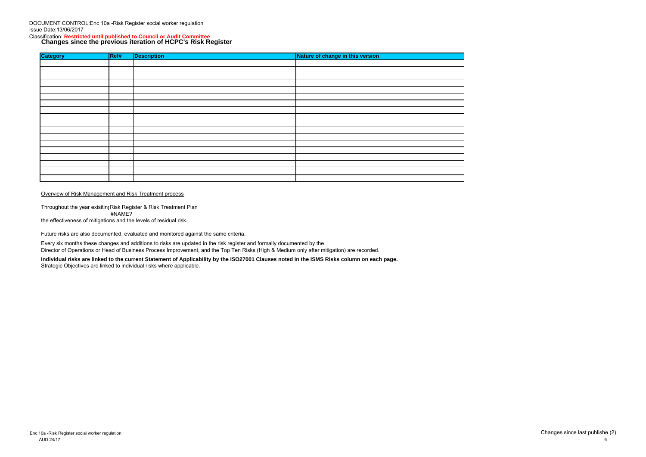DOCUMENT CONTROL:Enc 10a -Risk Register social worker regulation Issue Date:13/06/2017

# Classification: **Restricted until published to Council or Audit Committee Changes since the previous iteration of HCPC's Risk Register**

Throughout the year exisiting Risk Register & Risk Treatment Plan #NAME? the effectiveness of mitigations and the levels of residual risk.

| <b>Category</b> | REff | <b>Description</b> | Nature of change in this version |
|-----------------|------|--------------------|----------------------------------|
|                 |      |                    |                                  |
|                 |      |                    |                                  |
|                 |      |                    |                                  |
|                 |      |                    |                                  |
|                 |      |                    |                                  |
|                 |      |                    |                                  |
|                 |      |                    |                                  |
|                 |      |                    |                                  |
|                 |      |                    |                                  |
|                 |      |                    |                                  |
|                 |      |                    |                                  |
|                 |      |                    |                                  |
|                 |      |                    |                                  |
|                 |      |                    |                                  |
|                 |      |                    |                                  |
|                 |      |                    |                                  |
|                 |      |                    |                                  |
|                 |      |                    |                                  |

#### Overview of Risk Management and Risk Treatment process

Future risks are also documented, evaluated and monitored against the same criteria.

Every six months these changes and additions to risks are updated in the risk register and formally documented by the Director of Operations or Head of Business Process Improvement, and the Top Ten Risks (High & Medium only after mitigation) are recorded.

**Individual risks are linked to the current Statement of Applicability by the ISO27001 Clauses noted in the ISMS Risks column on each page.** Strategic Objectives are linked to individual risks where applicable.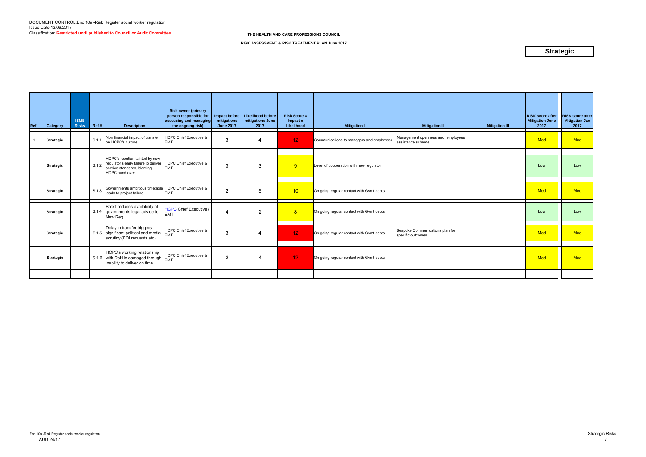| Ref | Category         | <b>ISMS</b><br><b>Risks</b> | Ref # | <b>Description</b>                                                                                                                                         | <b>Risk owner (primary</b><br>person responsible for<br>assessing and managing<br>the ongoing risk) | Impact before<br>mitigations<br><b>June 2017</b> | Likelihood before<br>mitigations June<br>2017 | <b>Risk Score =</b><br>Impact x<br>Likelihood | <b>Mitigation I</b>                      | <b>Mitigation II</b>                                   | <b>Mitigation III</b> | <b>RISK score after</b><br><b>Mitigation June</b><br>2017 | <b>RISK score after</b><br><b>Mitigation Jan</b><br>2017 |
|-----|------------------|-----------------------------|-------|------------------------------------------------------------------------------------------------------------------------------------------------------------|-----------------------------------------------------------------------------------------------------|--------------------------------------------------|-----------------------------------------------|-----------------------------------------------|------------------------------------------|--------------------------------------------------------|-----------------------|-----------------------------------------------------------|----------------------------------------------------------|
|     | <b>Strategic</b> |                             | S.1.1 | Non financial impact of transfer<br>on HCPC's culture                                                                                                      | <b>HCPC Chief Executive &amp;</b><br><b>EMT</b>                                                     | 3                                                | $\overline{4}$                                | 12 <sub>2</sub>                               | Communications to managers and employees | Management openness and employees<br>assistance scheme |                       | Med                                                       | <b>Med</b>                                               |
|     | <b>Strategic</b> |                             |       | HCPC's repution tainted by new<br>S.1.2 regulator's early failure to deliver HCPC Chief Executive &<br>service standards, blaming<br><b>HCPC</b> hand over | <b>EMT</b>                                                                                          | 3                                                | 3                                             | 9                                             | Level of cooperation with new regulator  |                                                        |                       | Low                                                       | Low                                                      |
|     | <b>Strategic</b> |                             |       | S.1.3 Governments ambitious timetable HCPC Chief Executive &<br>leads to project failure.                                                                  | <b>EMT</b>                                                                                          | $\overline{2}$                                   | 5                                             | 10 <sup>°</sup>                               | On going regular contact with Gvmt depts |                                                        |                       | <b>Med</b>                                                | <b>Med</b>                                               |
|     | <b>Strategic</b> |                             |       | Brexit reduces availability of<br>S.1.4 governments legal advice to<br>New Reg                                                                             | <b>HCPC Chief Executive /</b><br><b>EMT</b>                                                         | 4                                                | 2                                             | 8                                             | On going regular contact with Gvmt depts |                                                        |                       | Low                                                       | Low                                                      |
|     | <b>Strategic</b> |                             |       | Delay in transfer triggers<br>S.1.5 significant political and media<br>scrutiny (FOI requests etc)                                                         | <b>HCPC Chief Executive &amp;</b><br><b>EMT</b>                                                     | 3                                                | $\overline{\mathbf{4}}$                       | 12 <sub>1</sub>                               | On going regular contact with Gvmt depts | Bespoke Communications plan for<br>specific outcomes   |                       | <b>Med</b>                                                | <b>Med</b>                                               |
|     | <b>Strategic</b> |                             |       | HCPC's working relationship<br>S.1.6 with DoH is damaged through $\vert_{\text{EMT}}^{\text{HUT}}$<br>inability to deliver on time                         | HCPC Chief Executive &                                                                              | 3                                                | $\overline{4}$                                | 12 <sub>1</sub>                               | On going regular contact with Gvmt depts |                                                        |                       | <b>Med</b>                                                | <b>Med</b>                                               |
|     |                  |                             |       |                                                                                                                                                            |                                                                                                     |                                                  |                                               |                                               |                                          |                                                        |                       |                                                           |                                                          |

**RISK ASSESSMENT & RISK TREATMENT PLAN June 2017**

# **Strategic**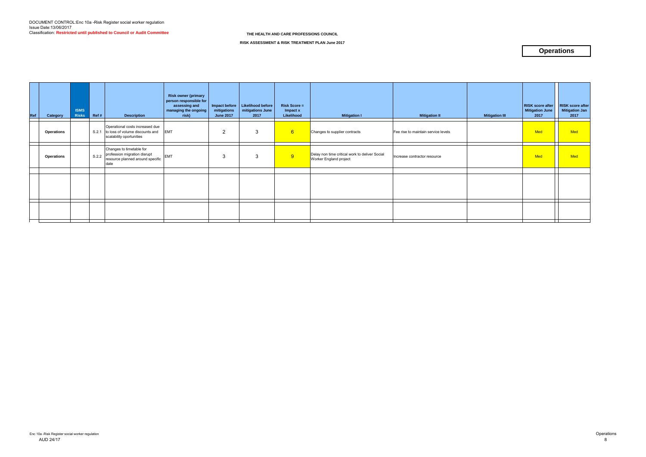| Ref | Category          | <b>ISMS</b><br><b>Risks</b> | Ref # | <b>Description</b>                                                                                   | <b>Risk owner (primary</b><br>person responsible for<br>assessing and<br>managing the ongoing<br>risk) | mitigations<br><b>June 2017</b> | Impact before   Likelihood before<br>mitigations June<br>2017 | <b>Risk Score =</b><br>Impact x<br>Likelihood | <b>Mitigation I</b>                                                      | <b>Mitigation II</b>                | <b>Mitigation III</b> | <b>RISK score after</b><br><b>Mitigation June</b><br>2017 | <b>RISK score after</b><br><b>Mitigation Jan</b><br>2017 |
|-----|-------------------|-----------------------------|-------|------------------------------------------------------------------------------------------------------|--------------------------------------------------------------------------------------------------------|---------------------------------|---------------------------------------------------------------|-----------------------------------------------|--------------------------------------------------------------------------|-------------------------------------|-----------------------|-----------------------------------------------------------|----------------------------------------------------------|
|     | <b>Operations</b> |                             |       | Operational costs increased due<br>S.2.1 to loss of volume discounts and<br>scalability oportunities | <b>EMT</b>                                                                                             | $\overline{2}$                  | 3                                                             | 6                                             | Changes to supplier contracts                                            | Fee rise to maintain service levels |                       | Med                                                       | Med                                                      |
|     | <b>Operations</b> |                             | S.2.2 | Changes to timetable for<br>profession migration disrupt<br>resource planned around specific<br>date | <b>EMT</b>                                                                                             | 3                               | 3                                                             | 9                                             | Delay non time critical work to deliver Social<br>Worker England project | Increase contractor resource        |                       | Med                                                       | Med                                                      |
|     |                   |                             |       |                                                                                                      |                                                                                                        |                                 |                                                               |                                               |                                                                          |                                     |                       |                                                           |                                                          |
|     |                   |                             |       |                                                                                                      |                                                                                                        |                                 |                                                               |                                               |                                                                          |                                     |                       |                                                           |                                                          |
|     |                   |                             |       |                                                                                                      |                                                                                                        |                                 |                                                               |                                               |                                                                          |                                     |                       |                                                           |                                                          |
|     |                   |                             |       |                                                                                                      |                                                                                                        |                                 |                                                               |                                               |                                                                          |                                     |                       |                                                           |                                                          |
|     |                   |                             |       |                                                                                                      |                                                                                                        |                                 |                                                               |                                               |                                                                          |                                     |                       |                                                           |                                                          |

**RISK ASSESSMENT & RISK TREATMENT PLAN June 2017**

# **Operations**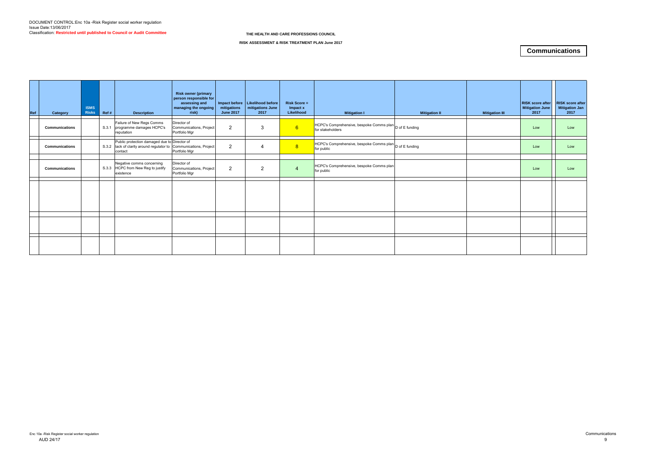| Ref | Category              | <b>ISMS</b><br><b>Risks</b> | Ref # | <b>Description</b>                                                                                                           | <b>Risk owner (primary</b><br>person responsible for<br>assessing and<br>managing the ongoing<br>risk) | mitigations<br><b>June 2017</b> | Impact before   Likelihood before  <br>mitigations June<br>2017 | <b>Risk Score =</b><br>Impact x<br>Likelihood | <b>Mitigation I</b>                                                         | <b>Mitigation II</b> | <b>Mitigation III</b> | <b>RISK score after</b><br><b>Mitigation June</b><br>2017 | <b>RISK score after</b><br><b>Mitigation Jan</b><br>2017 |
|-----|-----------------------|-----------------------------|-------|------------------------------------------------------------------------------------------------------------------------------|--------------------------------------------------------------------------------------------------------|---------------------------------|-----------------------------------------------------------------|-----------------------------------------------|-----------------------------------------------------------------------------|----------------------|-----------------------|-----------------------------------------------------------|----------------------------------------------------------|
|     | Communications        |                             | S.3.1 | Failure of New Regs Comms<br>programme damages HCPC's<br>reputation                                                          | Director of<br>Communications, Project<br>Portfolio Mgr                                                | $\overline{2}$                  | 3                                                               | 6 <sup>°</sup>                                | HCPC's Comprehensive, bespoke Comms plan D of E funding<br>for stakeholders |                      |                       | Low                                                       | Low                                                      |
|     | <b>Communications</b> |                             |       | Public protection damaged due to Director of<br>S.3.2 lack of clarity around regulator to Communications, Project<br>contact | Portfolio Mgr                                                                                          | $\overline{2}$                  | $\overline{4}$                                                  | 8                                             | HCPC's Comprehensive, bespoke Comms plan D of E funding<br>for public       |                      |                       | Low                                                       | Low                                                      |
|     | Communications        |                             | S.3.3 | Negative comms concerning<br>HCPC from New Reg to justify<br>existence                                                       | Director of<br>Communications, Project<br>Portfolio Mgr                                                | $\overline{2}$                  | $\overline{2}$                                                  | $\overline{4}$                                | HCPC's Comprehensive, bespoke Comms plan<br>for public                      |                      |                       | Low                                                       | Low                                                      |
|     |                       |                             |       |                                                                                                                              |                                                                                                        |                                 |                                                                 |                                               |                                                                             |                      |                       |                                                           |                                                          |
|     |                       |                             |       |                                                                                                                              |                                                                                                        |                                 |                                                                 |                                               |                                                                             |                      |                       |                                                           |                                                          |
|     |                       |                             |       |                                                                                                                              |                                                                                                        |                                 |                                                                 |                                               |                                                                             |                      |                       |                                                           |                                                          |

**RISK ASSESSMENT & RISK TREATMENT PLAN June 2017**

# **Communications**

**THE HEALTH AND CARE PROFESSIONS COUNCIL**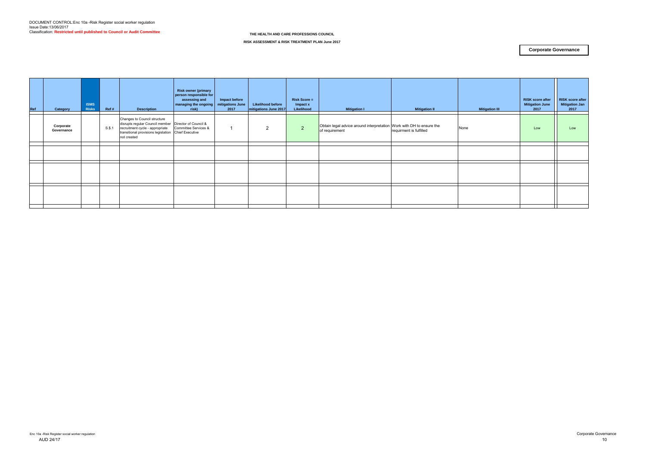| Ref | Category                | <b>ISMS</b><br><b>Risks</b> | Ref#      | <b>Description</b>                                                                                                                                                                               | <b>Risk owner (primary</b><br>person responsible for<br>assessing and<br>managing the ongoing<br>risk) | Impact before<br>mitigations June<br>2017 | <b>Likelihood before</b><br>mitigations June 2017 | <b>Risk Score =</b><br>Impact x<br>Likelihood | <b>Mitigation I</b>                                                                    | <b>Mitigation II</b>    | <b>Mitigation III</b> | RISK score after<br><b>Mitigation June</b><br>2017 | <b>RISK score after</b><br><b>Mitigation Jan</b><br>2017 |
|-----|-------------------------|-----------------------------|-----------|--------------------------------------------------------------------------------------------------------------------------------------------------------------------------------------------------|--------------------------------------------------------------------------------------------------------|-------------------------------------------|---------------------------------------------------|-----------------------------------------------|----------------------------------------------------------------------------------------|-------------------------|-----------------------|----------------------------------------------------|----------------------------------------------------------|
|     | Corporate<br>Governance |                             | $S.\$ , 1 | Changes to Council structure<br>disrupts regular Council member   Director of Council &<br>recruitment cycle - appropriate<br>transitional provisions legislation Chief Executive<br>not created | Committee Services &                                                                                   |                                           | 2                                                 | $\overline{2}$                                | Obtain legal advice around interpretation Work with DH to ensure the<br>of requirement | requirment is fulfilled | None                  | Low                                                | Low                                                      |
|     |                         |                             |           |                                                                                                                                                                                                  |                                                                                                        |                                           |                                                   |                                               |                                                                                        |                         |                       |                                                    |                                                          |
|     |                         |                             |           |                                                                                                                                                                                                  |                                                                                                        |                                           |                                                   |                                               |                                                                                        |                         |                       |                                                    |                                                          |
|     |                         |                             |           |                                                                                                                                                                                                  |                                                                                                        |                                           |                                                   |                                               |                                                                                        |                         |                       |                                                    |                                                          |
|     |                         |                             |           |                                                                                                                                                                                                  |                                                                                                        |                                           |                                                   |                                               |                                                                                        |                         |                       |                                                    |                                                          |
|     |                         |                             |           |                                                                                                                                                                                                  |                                                                                                        |                                           |                                                   |                                               |                                                                                        |                         |                       |                                                    |                                                          |
|     |                         |                             |           |                                                                                                                                                                                                  |                                                                                                        |                                           |                                                   |                                               |                                                                                        |                         |                       |                                                    |                                                          |
|     |                         |                             |           |                                                                                                                                                                                                  |                                                                                                        |                                           |                                                   |                                               |                                                                                        |                         |                       |                                                    |                                                          |

**RISK ASSESSMENT & RISK TREATMENT PLAN June 2017**

#### **Corporate Governance**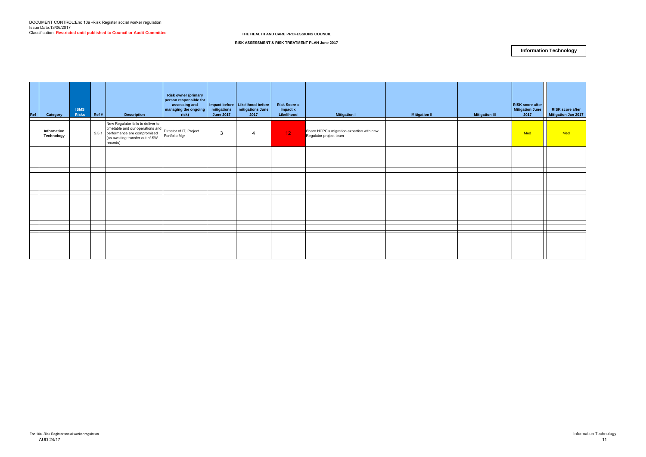| Ref | Category                  | <b>ISMS</b><br><b>Risks</b> | Ref # | <b>Description</b>                                                                                                                                                                                                                                                                                                                                     | <b>Risk owner (primary</b><br>person responsible for<br>assessing and<br>managing the ongoing<br>risk) | mitigations<br><b>June 2017</b> | Impact before   Likelihood before<br>mitigations June<br>2017 | <b>Risk Score =</b><br>Impact x<br>Likelihood | <b>Mitigation I</b>                                                 | <b>Mitigation II</b> | <b>Mitigation III</b> | <b>RISK score after</b><br><b>Mitigation June</b><br>2017 | <b>RISK score after</b><br>Mitigation Jan 2017 |
|-----|---------------------------|-----------------------------|-------|--------------------------------------------------------------------------------------------------------------------------------------------------------------------------------------------------------------------------------------------------------------------------------------------------------------------------------------------------------|--------------------------------------------------------------------------------------------------------|---------------------------------|---------------------------------------------------------------|-----------------------------------------------|---------------------------------------------------------------------|----------------------|-----------------------|-----------------------------------------------------------|------------------------------------------------|
|     | Information<br>Technology |                             |       | New Regulator fails to deliver to<br>The Register of the Company of the Company of the Company of the Company of the Company of the Company of the Company of the Company of the Company of the Company of the Company of the Company of the Company of the Compan<br>S.5.1 performance are compromised<br>(as awaiting transfer out of SW<br>records) | Portfolio Mgr                                                                                          | 3                               | 4                                                             | 12 <sub>1</sub>                               | Share HCPC's migration expertise with new<br>Regulator project team |                      |                       | Med                                                       | Med                                            |
|     |                           |                             |       |                                                                                                                                                                                                                                                                                                                                                        |                                                                                                        |                                 |                                                               |                                               |                                                                     |                      |                       |                                                           |                                                |
|     |                           |                             |       |                                                                                                                                                                                                                                                                                                                                                        |                                                                                                        |                                 |                                                               |                                               |                                                                     |                      |                       |                                                           |                                                |
|     |                           |                             |       |                                                                                                                                                                                                                                                                                                                                                        |                                                                                                        |                                 |                                                               |                                               |                                                                     |                      |                       |                                                           |                                                |
|     |                           |                             |       |                                                                                                                                                                                                                                                                                                                                                        |                                                                                                        |                                 |                                                               |                                               |                                                                     |                      |                       | T                                                         |                                                |
|     |                           |                             |       |                                                                                                                                                                                                                                                                                                                                                        |                                                                                                        |                                 |                                                               |                                               |                                                                     |                      |                       |                                                           |                                                |

**RISK ASSESSMENT & RISK TREATMENT PLAN June 2017**

#### **Information Technology**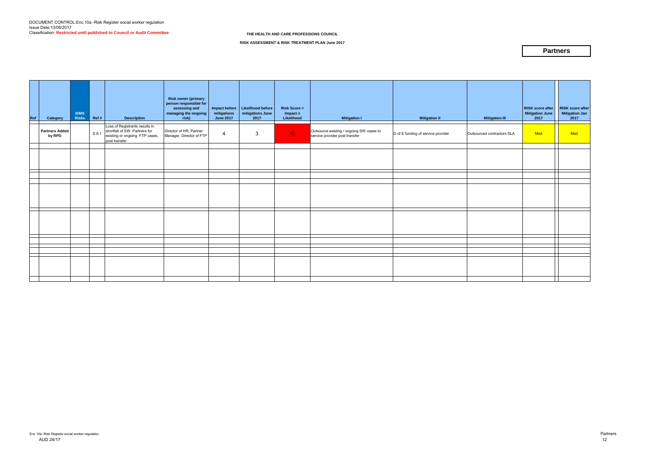| Ref | Category                        | <b>ISMS</b><br><b>Risks</b> | $\parallel$ Ref # | <b>Description</b>                                                                                                | <b>Risk owner (primary</b><br>person responsible for<br>assessing and<br>managing the ongoing<br>risk) | mitigations<br><b>June 2017</b> | Impact before   Likelihood before<br>mitigations June<br>2017 | <b>Risk Score =</b><br>Impact x<br>Likelihood | <b>Mitigation I</b>                                                        | <b>Mitigation II</b>               | <b>Mitigation III</b>      | <b>RISK score after</b><br><b>Mitigation June</b><br>2017 | <b>RISK score after</b><br>Mitigation Jan<br>2017 |
|-----|---------------------------------|-----------------------------|-------------------|-------------------------------------------------------------------------------------------------------------------|--------------------------------------------------------------------------------------------------------|---------------------------------|---------------------------------------------------------------|-----------------------------------------------|----------------------------------------------------------------------------|------------------------------------|----------------------------|-----------------------------------------------------------|---------------------------------------------------|
|     | <b>Partners Added</b><br>by RPD |                             | S.6.1             | Loss of Registrants results in<br>shortfall of SW Partners for<br>existing or ongoing FTP cases,<br>post transfer | Director of HR, Partner<br>Manager, Director of FTP                                                    | $\overline{4}$                  | 3                                                             | 12 <sup>°</sup>                               | Outsource existing / ongoing SW cases to<br>service provider post transfer | D of E funding of service provider | Outsourced contractors SLA | Med                                                       | Med                                               |
|     |                                 |                             |                   |                                                                                                                   |                                                                                                        |                                 |                                                               |                                               |                                                                            |                                    |                            |                                                           |                                                   |
|     |                                 |                             |                   |                                                                                                                   |                                                                                                        |                                 |                                                               |                                               |                                                                            |                                    |                            |                                                           |                                                   |
|     |                                 |                             |                   |                                                                                                                   |                                                                                                        |                                 |                                                               |                                               |                                                                            |                                    |                            |                                                           |                                                   |
|     |                                 |                             |                   |                                                                                                                   |                                                                                                        |                                 |                                                               |                                               |                                                                            |                                    |                            |                                                           |                                                   |
|     |                                 |                             |                   |                                                                                                                   |                                                                                                        |                                 |                                                               |                                               |                                                                            |                                    |                            |                                                           |                                                   |
|     |                                 |                             |                   |                                                                                                                   |                                                                                                        |                                 |                                                               |                                               |                                                                            |                                    |                            |                                                           |                                                   |
|     |                                 |                             |                   |                                                                                                                   |                                                                                                        |                                 |                                                               |                                               |                                                                            |                                    |                            |                                                           |                                                   |
|     |                                 |                             |                   |                                                                                                                   |                                                                                                        |                                 |                                                               |                                               |                                                                            |                                    |                            |                                                           |                                                   |
|     |                                 |                             |                   |                                                                                                                   |                                                                                                        |                                 |                                                               |                                               |                                                                            |                                    |                            |                                                           | $\mathbf{I}$                                      |
|     |                                 |                             |                   |                                                                                                                   |                                                                                                        |                                 |                                                               |                                               |                                                                            |                                    |                            |                                                           |                                                   |
|     |                                 |                             |                   |                                                                                                                   |                                                                                                        |                                 |                                                               |                                               |                                                                            |                                    |                            |                                                           |                                                   |

**RISK ASSESSMENT & RISK TREATMENT PLAN June 2017**

#### **Partners**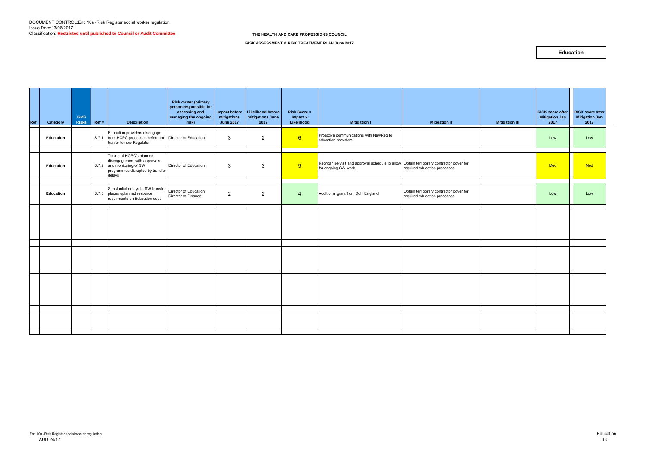| Ref | Category  | <b>ISMS</b><br><b>Risks</b> | Ref# | <b>Description</b>                                                                                                                   | <b>Risk owner (primary</b><br>person responsible for<br>assessing and<br>managing the ongoing<br>risk) | mitigations<br><b>June 2017</b> | Impact before   Likelihood before<br>mitigations June<br>2017 | <b>Risk Score =</b><br>Impact x<br>Likelihood | <b>Mitigation I</b>                                                                                           | <b>Mitigation II</b>                                                  | <b>Mitigation III</b> | <b>RISK</b> score after<br><b>Mitigation Jan</b><br>2017 | <b>RISK score after</b><br><b>Mitigation Jan</b><br>2017 |
|-----|-----------|-----------------------------|------|--------------------------------------------------------------------------------------------------------------------------------------|--------------------------------------------------------------------------------------------------------|---------------------------------|---------------------------------------------------------------|-----------------------------------------------|---------------------------------------------------------------------------------------------------------------|-----------------------------------------------------------------------|-----------------------|----------------------------------------------------------|----------------------------------------------------------|
|     | Education |                             |      | Education providers disengage<br>S.7.1 from HCPC processes before the Director of Education<br>tranfer to new Regulator              |                                                                                                        | 3                               | $\overline{2}$                                                | 6                                             | Proactive communications with NewReg to<br>education providers                                                |                                                                       |                       | Low                                                      | Low                                                      |
|     | Education |                             |      | Timing of HCPC's planned<br>disengagement with approvals<br>S.7.2 and monitoring of SW<br>programmes disrupted by transfer<br>delays | Director of Education                                                                                  | $\mathbf{3}$                    | 3                                                             | 9                                             | Reorganise visit and approval schedule to allow Obtain temporary contractor cover for<br>for ongoing SW work. | required education processes                                          |                       | Med                                                      | Med                                                      |
|     | Education |                             |      | Substantial delays to SW transfer<br>S.7.3 places uplanned resource<br>requirments on Education dept                                 | Director of Education,<br>Director of Finance                                                          | $\overline{2}$                  | $\overline{2}$                                                | $\overline{4}$                                | Additional grant from DoH England                                                                             | Obtain temporary contractor cover for<br>required education processes |                       | Low                                                      | Low                                                      |
|     |           |                             |      |                                                                                                                                      |                                                                                                        |                                 |                                                               |                                               |                                                                                                               |                                                                       |                       |                                                          |                                                          |
|     |           |                             |      |                                                                                                                                      |                                                                                                        |                                 |                                                               |                                               |                                                                                                               |                                                                       |                       |                                                          |                                                          |
|     |           |                             |      |                                                                                                                                      |                                                                                                        |                                 |                                                               |                                               |                                                                                                               |                                                                       |                       |                                                          |                                                          |
|     |           |                             |      |                                                                                                                                      |                                                                                                        |                                 |                                                               |                                               |                                                                                                               |                                                                       |                       |                                                          |                                                          |
|     |           |                             |      |                                                                                                                                      |                                                                                                        |                                 |                                                               |                                               |                                                                                                               |                                                                       |                       |                                                          |                                                          |

**RISK ASSESSMENT & RISK TREATMENT PLAN June 2017**

#### **Education**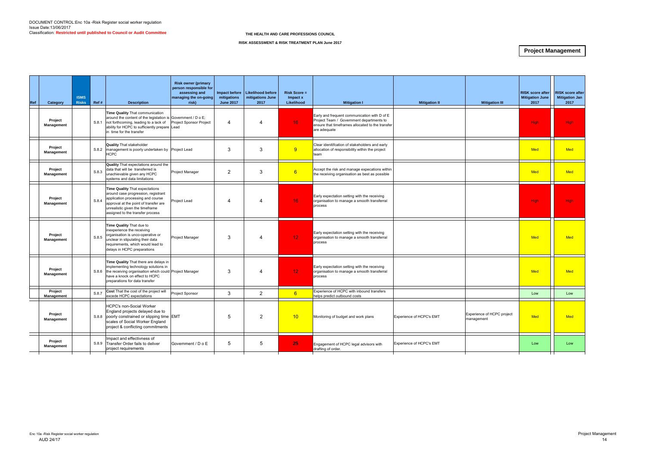| Ref | Category              | <b>ISMS</b><br><b>Risks</b> | Ref # | <b>Description</b>                                                                                                                                                                                                                | <b>Risk owner (primary</b><br>person responsible for<br>assessing and<br>managing the on-going<br>risk) | Impact before<br>mitigations<br><b>June 2017</b> | <b>Likelihood before</b><br>mitigations June<br>2017 | <b>Risk Score =</b><br>Impact x<br>Likelihood | <b>Mitigation I</b>                                                                                                                                          | <b>Mitigation II</b>     | <b>Mitigation III</b>                    | <b>RISK score after</b><br><b>Mitigation June</b><br>2017 | <b>RISK score after</b><br><b>Mitigation Jan</b><br>2017 |
|-----|-----------------------|-----------------------------|-------|-----------------------------------------------------------------------------------------------------------------------------------------------------------------------------------------------------------------------------------|---------------------------------------------------------------------------------------------------------|--------------------------------------------------|------------------------------------------------------|-----------------------------------------------|--------------------------------------------------------------------------------------------------------------------------------------------------------------|--------------------------|------------------------------------------|-----------------------------------------------------------|----------------------------------------------------------|
|     | Project<br>Management |                             | S.8.1 | Time Quality That communication<br>around the content of the legislation is Government / D o E;<br>not forthcoming, leading to a lack of<br>ability for HCPC to sufficiently prepare Lead<br>in time for the transfer             | Project Sponsor Project                                                                                 | 4                                                | 4                                                    | 16 <sup>°</sup>                               | Early and frequent communication with D of E<br>Project Team / Government departments to<br>ensure that timeframes allocated to the transfer<br>are adequate |                          |                                          | <b>High</b>                                               | <b>High</b>                                              |
|     | Project<br>Management |                             |       | <b>Quality That stakeholder</b><br>S.8.2   management is poorly undertaken by   Project Lead<br><b>HCPC</b>                                                                                                                       |                                                                                                         | 3                                                | $\mathbf{3}$                                         | 9                                             | Clear idenitifcation of stakeholders and early<br>allocation of responsibility within the project<br>team                                                    |                          |                                          | <b>Med</b>                                                | <b>Med</b>                                               |
|     | Project<br>Management |                             | S.8.3 | <b>Quality</b> That expectations around the<br>data that will be transferred is<br>unachievable given any HCPC<br>systems and data limitations                                                                                    | Project Manager                                                                                         | $\overline{2}$                                   | 3                                                    | 6                                             | Accept the risk and manage expecations within<br>the receiving organisation as best as possible                                                              |                          |                                          | Med                                                       | <b>Med</b>                                               |
|     | Project<br>Management |                             | S.8.4 | <b>Time Quality That expectations</b><br>around case progression, registrant<br>application processing and course<br>approval at the point of transfer are<br>unrealistic given the timeframe<br>assigned to the transfer process | Project Lead                                                                                            | 4                                                |                                                      | 16 <sup>°</sup>                               | Early expectation setting with the receiving<br>organisation to manage a smooth transferral<br>process                                                       |                          |                                          | <b>High</b>                                               | High                                                     |
|     | Project<br>Management |                             | S.8.5 | Time Quality That due to<br>inexperience the receiving<br>organisation is unco-operative or<br>unclear in stipulating their data<br>requirements, which would lead to<br>delays in HCPC preparations                              | Project Manager                                                                                         | 3                                                | $\boldsymbol{\Delta}$                                | 12 <sub>1</sub>                               | Early expectation setting with the receiving<br>organisation to manage a smooth transferral<br>process                                                       |                          |                                          | <b>Med</b>                                                | <b>Med</b>                                               |
|     | Project<br>Management |                             |       | Time Quality That there are delays in<br>implementing technology solutions in<br>S.8.6 the receiving organisation which could Project Manager<br>have a knock on effect to HCPC<br>preparations for data transfer                 |                                                                                                         | 3                                                | 4                                                    | 12 <sub>1</sub>                               | Early expectation setting with the receiving<br>organisation to manage a smooth transferral<br>process                                                       |                          |                                          | <b>Med</b>                                                | <b>Med</b>                                               |
|     | Project<br>Management |                             | S.8.7 | Cost That the cost of the project will<br>excede HCPC expectations                                                                                                                                                                | Project Sponsor                                                                                         | 3                                                | 2                                                    | $6 \overline{6}$                              | Experience of HCPC with inbound transfers<br>helps predict outbound costs                                                                                    |                          |                                          | Low                                                       | Low                                                      |
|     | Project<br>Management |                             |       | <b>HCPC's non-Social Worker</b><br>England projects delayed due to<br>S.8.8 poorly constrained or slipping time EMT<br>scales of Social Worker England<br>project & conflicting commitments                                       |                                                                                                         | 5                                                | $\overline{2}$                                       | 10 <sup>°</sup>                               | Monitoring of budget and work plans                                                                                                                          | Experience of HCPC's EMT | Experience of HCPC project<br>management | Med                                                       | <b>Med</b>                                               |
|     | Project<br>Management |                             | S.8.9 | mpact and effectivness of<br>Transfer Order fails to deliver<br>project requirements                                                                                                                                              | Government / D o E                                                                                      | 5                                                | $5\phantom{.0}$                                      | 25                                            | Engagement of HCPC legal advisors with<br>drafting of order.                                                                                                 | Experience of HCPC's EMT |                                          | Low                                                       | Low                                                      |

#### **RISK ASSESSMENT & RISK TREATMENT PLAN June 2017**

# **Project Management**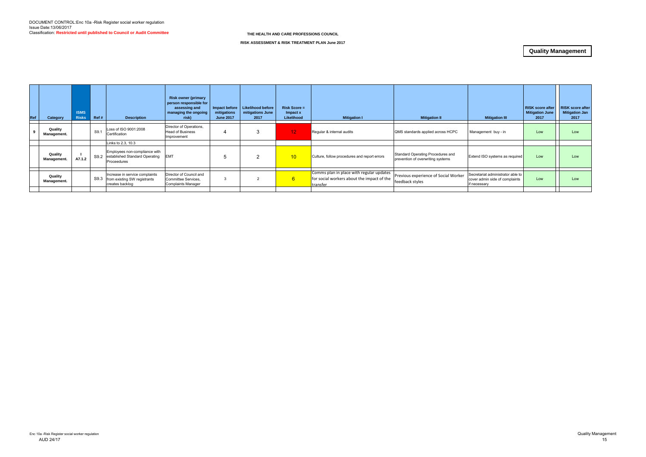| Ref | Category               | <b>ISMS</b><br><b>Risks</b> | Ref# | <b>Description</b>                                                                  | <b>Risk owner (primary</b><br>person responsible for<br>assessing and<br>managing the ongoing<br>risk) | Impact before<br>mitigations<br><b>June 2017</b> | <b>Likelihood before</b><br>mitigations June<br>2017 | $Risk Score =$<br>Impact x<br>Likelihood | <b>Mitigation I</b>                                    | <b>Mitigation II</b>                                                   | <b>Mitigation III</b>                                                               | <b>RISK score after</b><br><b>Mitigation June</b><br>2017 | <b>RISK score after</b><br><b>Mitigation Jan</b><br>2017 |
|-----|------------------------|-----------------------------|------|-------------------------------------------------------------------------------------|--------------------------------------------------------------------------------------------------------|--------------------------------------------------|------------------------------------------------------|------------------------------------------|--------------------------------------------------------|------------------------------------------------------------------------|-------------------------------------------------------------------------------------|-----------------------------------------------------------|----------------------------------------------------------|
|     | Quality<br>Management. |                             | S9.1 | Loss of ISO 9001:2008<br>Certification                                              | Director of Operations,<br><b>Head of Business</b><br>Improvement                                      |                                                  |                                                      | 12 <sub>1</sub>                          | Regular & internal audits                              | QMS standards applied across HCPC                                      | Management buy - in                                                                 | Low                                                       | Low                                                      |
|     |                        |                             |      | Links to 2.3, 10.3                                                                  |                                                                                                        |                                                  |                                                      |                                          |                                                        |                                                                        |                                                                                     |                                                           |                                                          |
|     | Quality<br>Management. | A7.1.2                      |      | Employees non-compliance with<br>S9.2 established Standard Operating<br>Proceedures | <b>EMT</b>                                                                                             |                                                  | $\overline{2}$                                       | 10 <sup>1</sup>                          | Culture, follow procedures and report errors           | Standard Operating Procedures and<br>prevention of overwriting systems | Extend ISO systems as required                                                      | Low                                                       | Low                                                      |
|     |                        |                             |      |                                                                                     |                                                                                                        |                                                  |                                                      |                                          | Comms plan in place with regular updates               |                                                                        |                                                                                     |                                                           |                                                          |
|     | Quality<br>Management. |                             | S9.3 | Increase in service complaints<br>from existing SW registrants<br>creates backlog   | Director of Council and<br>Committee Services.<br><b>Complaints Manager</b>                            |                                                  | 2                                                    | $6^{\circ}$                              | for social workers about the impact of the<br>transfer | Previous experience of Social Worker<br>feedback styles                | Secretariat administrator able to<br>cover admin side of complaints<br>if necessary | Low                                                       | Low                                                      |
|     |                        |                             |      |                                                                                     |                                                                                                        |                                                  |                                                      |                                          |                                                        |                                                                        |                                                                                     |                                                           |                                                          |

**RISK ASSESSMENT & RISK TREATMENT PLAN June 2017**

## **Quality Management**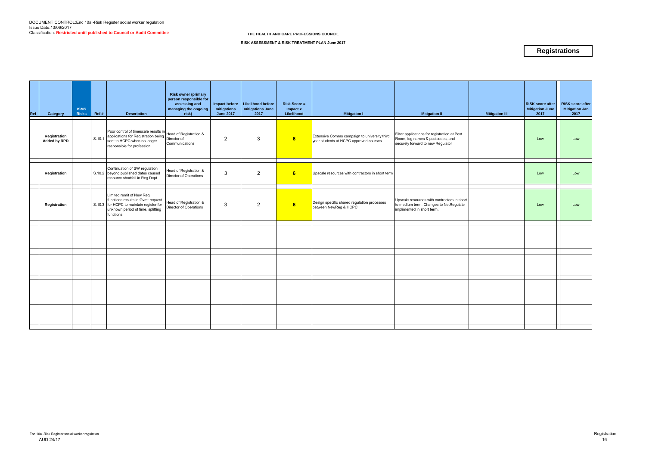| Ref | Category                            | <b>ISMS</b><br><b>Risks</b> | Ref #  | <b>Description</b>                                                                                                                                                     | <b>Risk owner (primary</b><br>person responsible for<br>assessing and<br>managing the ongoing<br>risk) | Impact before<br>mitigations<br><b>June 2017</b> | Likelihood before<br>mitigations June<br>2017 | <b>Risk Score =</b><br>Impact x<br>Likelihood | <b>Mitigation I</b>                                                                    | <b>Mitigation II</b>                                                                                                  | <b>Mitigation III</b> | <b>RISK score after</b><br><b>Mitigation June</b><br>2017 | <b>RISK score after</b><br><b>Mitigation Jan</b><br>2017 |
|-----|-------------------------------------|-----------------------------|--------|------------------------------------------------------------------------------------------------------------------------------------------------------------------------|--------------------------------------------------------------------------------------------------------|--------------------------------------------------|-----------------------------------------------|-----------------------------------------------|----------------------------------------------------------------------------------------|-----------------------------------------------------------------------------------------------------------------------|-----------------------|-----------------------------------------------------------|----------------------------------------------------------|
|     | Registration<br><b>Added by RPD</b> |                             | S.10.1 | Poor control of timescale results in<br>applications for Registration being<br>Director of<br>Director of<br>sent to HCPC when no longer<br>responsible for profession | Communications                                                                                         | $\overline{2}$                                   | $\mathbf{3}$                                  | 6                                             | Extensive Comms campaign to university third<br>year students at HCPC approved courses | Filter applications for registration at Post<br>Room, log names & postcodes, and<br>securely forward to new Regulator |                       | Low                                                       | Low                                                      |
|     | Registration                        |                             |        | Continuation of SW regulation<br>S.10.2 beyond published dates caused<br>resource shortfall in Reg Dept                                                                | Head of Registration &<br>Director of Operations                                                       | 3                                                | $\overline{2}$                                | 6                                             | Upscale resources with contractors in short term                                       |                                                                                                                       |                       | Low                                                       | Low                                                      |
|     | Registration                        |                             |        | Limited remit of New Reg<br>functions results in Gvmt request<br>S.10.3 for HCPC to maintain register for<br>unknown period of time, splitting<br>functions            | Head of Registration &<br>Director of Operations                                                       | 3                                                | $\overline{2}$                                | 6                                             | Design specific shared regulation processes<br>between NewReg & HCPC                   | Upscale resources with contractors in short<br>to medium term. Changes to NetRegulate<br>implimented in short term.   |                       | Low                                                       | Low                                                      |
|     |                                     |                             |        |                                                                                                                                                                        |                                                                                                        |                                                  |                                               |                                               |                                                                                        |                                                                                                                       |                       |                                                           |                                                          |
|     |                                     |                             |        |                                                                                                                                                                        |                                                                                                        |                                                  |                                               |                                               |                                                                                        |                                                                                                                       |                       |                                                           |                                                          |
|     |                                     |                             |        |                                                                                                                                                                        |                                                                                                        |                                                  |                                               |                                               |                                                                                        |                                                                                                                       |                       |                                                           |                                                          |
|     |                                     |                             |        |                                                                                                                                                                        |                                                                                                        |                                                  |                                               |                                               |                                                                                        |                                                                                                                       |                       |                                                           |                                                          |
|     |                                     |                             |        |                                                                                                                                                                        |                                                                                                        |                                                  |                                               |                                               |                                                                                        |                                                                                                                       |                       |                                                           |                                                          |
|     |                                     |                             |        |                                                                                                                                                                        |                                                                                                        |                                                  |                                               |                                               |                                                                                        |                                                                                                                       |                       |                                                           |                                                          |

**RISK ASSESSMENT & RISK TREATMENT PLAN June 2017**

# **Registrations**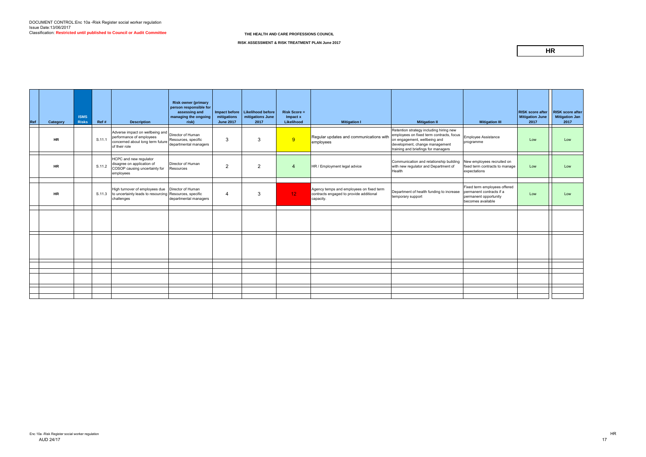| <b>Ref</b> | Category  | <b>ISMS</b><br><b>Risks</b> | Ref #  | <b>Description</b>                                                                                                                                                                                              | <b>Risk owner (primary</b><br>person responsible for<br>assessing and<br>managing the ongoing<br>risk) | mitigations<br><b>June 2017</b> | Impact before   Likelihood before  <br>mitigations June<br>2017 | <b>Risk Score =</b><br>Impact x<br>Likelihood | <b>Mitigation I</b>                                                                              | <b>Mitigation II</b>                                                                                                                                                                         | <b>Mitigation III</b>                                                                                  | <b>RISK score after</b><br><b>Mitigation June</b><br>2017 | <b>RISK score after</b><br>Mitigation Jan<br>2017 |
|------------|-----------|-----------------------------|--------|-----------------------------------------------------------------------------------------------------------------------------------------------------------------------------------------------------------------|--------------------------------------------------------------------------------------------------------|---------------------------------|-----------------------------------------------------------------|-----------------------------------------------|--------------------------------------------------------------------------------------------------|----------------------------------------------------------------------------------------------------------------------------------------------------------------------------------------------|--------------------------------------------------------------------------------------------------------|-----------------------------------------------------------|---------------------------------------------------|
|            | <b>HR</b> |                             | S.11.1 | Adverse impact on wellbeing and Director of Human<br>performance of employees<br>concerned about long term future   Resources, Special concerned about long term future   Resources, Special S<br>of their role |                                                                                                        | 3                               | 3                                                               | 9                                             | Regular updates and communications with<br>employees                                             | Retention strategy including hiring new<br>employees on fixed term contracts, focus<br>on engagement, wellbeing and<br>development, change management<br>training and briefings for managers | Employee Assistance<br>programme                                                                       | Low                                                       | Low                                               |
|            | <b>HR</b> |                             | S.11.2 | HCPC and new regulator<br>disagree on application of<br>COSOP causing uncertainty for<br>employees                                                                                                              | Director of Human<br>Resources                                                                         | 2                               | 2                                                               | $\overline{4}$                                | HR / Employment legal advice                                                                     | Communication and relationship building<br>with new regulator and Department of<br>Health                                                                                                    | New employees recruited on<br>fixed term contracts to manage<br>expectations                           | Low                                                       | Low                                               |
|            | <b>HR</b> |                             |        | High turnover of employees due<br>S.11.3 to uncertainty leads to resourcing Resources, specific<br>challenges                                                                                                   | Director of Human<br>departmental managers                                                             | -4                              | $\mathcal{R}$                                                   | 12 <sub>1</sub>                               | Agency temps and employees on fixed term<br>contracts engaged to provide additional<br>capacity. | Department of health funding to increase<br>temporary support                                                                                                                                | Fixed term employees offered<br>permanent contracts if a<br>permanent opportunity<br>becomes available | Low                                                       | Low                                               |
|            |           |                             |        |                                                                                                                                                                                                                 |                                                                                                        |                                 |                                                                 |                                               |                                                                                                  |                                                                                                                                                                                              |                                                                                                        |                                                           |                                                   |
|            |           |                             |        |                                                                                                                                                                                                                 |                                                                                                        |                                 |                                                                 |                                               |                                                                                                  |                                                                                                                                                                                              |                                                                                                        |                                                           |                                                   |
|            |           |                             |        |                                                                                                                                                                                                                 |                                                                                                        |                                 |                                                                 |                                               |                                                                                                  |                                                                                                                                                                                              |                                                                                                        |                                                           |                                                   |
|            |           |                             |        |                                                                                                                                                                                                                 |                                                                                                        |                                 |                                                                 |                                               |                                                                                                  |                                                                                                                                                                                              |                                                                                                        |                                                           |                                                   |
|            |           |                             |        |                                                                                                                                                                                                                 |                                                                                                        |                                 |                                                                 |                                               |                                                                                                  |                                                                                                                                                                                              |                                                                                                        |                                                           |                                                   |
|            |           |                             |        |                                                                                                                                                                                                                 |                                                                                                        |                                 |                                                                 |                                               |                                                                                                  |                                                                                                                                                                                              |                                                                                                        |                                                           |                                                   |
|            |           |                             |        |                                                                                                                                                                                                                 |                                                                                                        |                                 |                                                                 |                                               |                                                                                                  |                                                                                                                                                                                              |                                                                                                        |                                                           |                                                   |
|            |           |                             |        |                                                                                                                                                                                                                 |                                                                                                        |                                 |                                                                 |                                               |                                                                                                  |                                                                                                                                                                                              |                                                                                                        |                                                           |                                                   |

**RISK ASSESSMENT & RISK TREATMENT PLAN June 2017**

## **HR**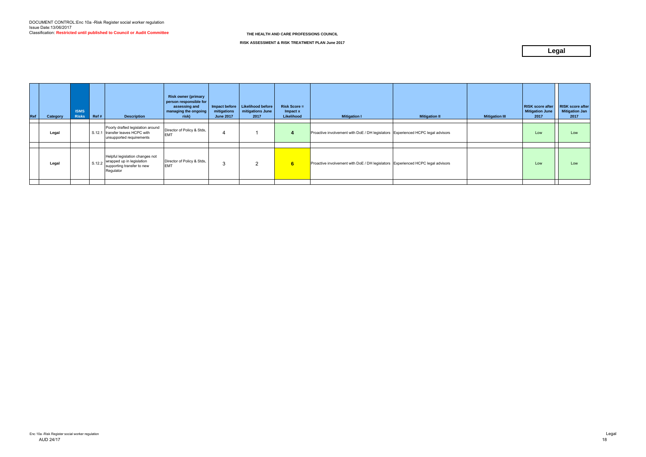| Ref | Category | <b>ISMS</b><br><b>Risks</b> | Ref#   | <b>Description</b>                                                                                | <b>Risk owner (primary</b><br>person responsible for<br>assessing and<br>managing the ongoing<br>risk) | mitigations<br><b>June 2017</b> | Impact before   Likelihood before<br>mitigations June<br>2017 | $Risk Score =$<br>Impact x<br>Likelihood | <b>Mitigation I</b>                                                             | <b>Mitigation II</b> | <b>Mitigation III</b> | <b>RISK score after</b><br><b>Mitigation June</b><br>2017 | <b>RISK score after</b><br><b>Mitigation Jan</b><br>2017 |
|-----|----------|-----------------------------|--------|---------------------------------------------------------------------------------------------------|--------------------------------------------------------------------------------------------------------|---------------------------------|---------------------------------------------------------------|------------------------------------------|---------------------------------------------------------------------------------|----------------------|-----------------------|-----------------------------------------------------------|----------------------------------------------------------|
|     | Legal    |                             |        | Poorly drafted legislation around<br>S.12.1 transfer leaves HCPC with<br>unsupported requirements | Director of Policy & Stds,<br><b>EMT</b>                                                               |                                 |                                                               |                                          | Proactive involvement with DoE / DH legislators Experienced HCPC legal advisors |                      |                       | Low                                                       | Low                                                      |
|     |          |                             |        | Helpful legislation changes not                                                                   |                                                                                                        |                                 |                                                               |                                          |                                                                                 |                      |                       |                                                           |                                                          |
|     | Legal    |                             | S.12.2 | wrapped up in legislation<br>supporting transfer to new<br>Regulator                              | Director of Policy & Stds,<br><b>EMT</b>                                                               |                                 | າ                                                             | 6                                        | Proactive involvement with DoE / DH legislators Experienced HCPC legal advisors |                      |                       | Low                                                       | Low                                                      |
|     |          |                             |        |                                                                                                   |                                                                                                        |                                 |                                                               |                                          |                                                                                 |                      |                       |                                                           |                                                          |

**RISK ASSESSMENT & RISK TREATMENT PLAN June 2017**

# **Legal**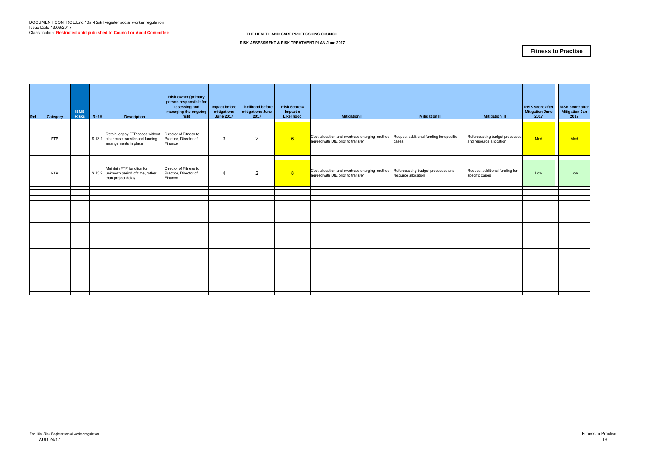| Ref | Category   | <b>ISMS</b><br><b>Risks</b> | Ref # | <b>Description</b>                                                                                 | <b>Risk owner (primary</b><br>person responsible for<br>assessing and<br>managing the ongoing<br>risk) | Impact before<br>mitigations<br><b>June 2017</b> | Likelihood before<br>mitigations June<br>2017 | <b>Risk Score =</b><br>Impact x<br>Likelihood | <b>Mitigation I</b>                                                               | <b>Mitigation II</b>                                      | <b>Mitigation III</b>                                     | <b>RISK score after</b><br><b>Mitigation June</b><br>2017 | <b>RISK score after</b><br><b>Mitigation Jan</b><br>2017 |
|-----|------------|-----------------------------|-------|----------------------------------------------------------------------------------------------------|--------------------------------------------------------------------------------------------------------|--------------------------------------------------|-----------------------------------------------|-----------------------------------------------|-----------------------------------------------------------------------------------|-----------------------------------------------------------|-----------------------------------------------------------|-----------------------------------------------------------|----------------------------------------------------------|
|     | <b>FTP</b> |                             |       | Retain legacy FTP cases without<br>S.13.1 clear case transfer and funding<br>arrangements in place | Director of Fitness to<br>Practice, Director of<br>Finance                                             | 3                                                | $\overline{2}$                                | $6\overline{6}$                               | Cost allocation and overhead charging method<br>agreed with DfE prior to transfer | Request additional funding for specific<br>cases          | Reforecasting budget processes<br>and resource allocation | Med                                                       | Med                                                      |
|     | <b>FTP</b> |                             |       | Maintain FTP function for<br>S.13.2 unknown period of time, rather<br>than project delay           | Director of Fitness to<br>Practice, Director of<br>Finance                                             | $\overline{4}$                                   | $\overline{2}$                                | 8                                             | Cost allocation and overhead charging method<br>agreed with DfE prior to transfer | Reforecasting budget processes and<br>resource allocation | Request additional funding for<br>specific cases          | Low                                                       | Low                                                      |
|     |            |                             |       |                                                                                                    |                                                                                                        |                                                  |                                               |                                               |                                                                                   |                                                           |                                                           | . .                                                       |                                                          |
|     |            |                             |       |                                                                                                    |                                                                                                        |                                                  |                                               |                                               |                                                                                   |                                                           |                                                           |                                                           |                                                          |
|     |            |                             |       |                                                                                                    |                                                                                                        |                                                  |                                               |                                               |                                                                                   |                                                           |                                                           |                                                           |                                                          |
|     |            |                             |       |                                                                                                    |                                                                                                        |                                                  |                                               |                                               |                                                                                   |                                                           |                                                           |                                                           |                                                          |
|     |            |                             |       |                                                                                                    |                                                                                                        |                                                  |                                               |                                               |                                                                                   |                                                           |                                                           |                                                           |                                                          |
|     |            |                             |       |                                                                                                    |                                                                                                        |                                                  |                                               |                                               |                                                                                   |                                                           |                                                           |                                                           |                                                          |
|     |            |                             |       |                                                                                                    |                                                                                                        |                                                  |                                               |                                               |                                                                                   |                                                           |                                                           |                                                           |                                                          |
|     |            |                             |       |                                                                                                    |                                                                                                        |                                                  |                                               |                                               |                                                                                   |                                                           |                                                           |                                                           |                                                          |
|     |            |                             |       |                                                                                                    |                                                                                                        |                                                  |                                               |                                               |                                                                                   |                                                           |                                                           |                                                           |                                                          |
|     |            |                             |       |                                                                                                    |                                                                                                        |                                                  |                                               |                                               |                                                                                   |                                                           |                                                           |                                                           |                                                          |

**RISK ASSESSMENT & RISK TREATMENT PLAN June 2017**

### **Fitness to Practise**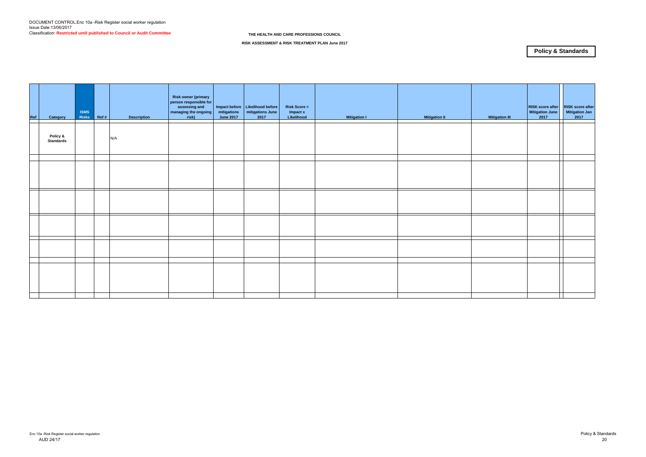| <b>RISK score after</b><br><b>RISK</b> score after<br>Mitigation June<br><b>Mitigation Jan</b><br>$2017$<br>$2017$<br><b>Mitigation III</b> |
|---------------------------------------------------------------------------------------------------------------------------------------------|
|                                                                                                                                             |
|                                                                                                                                             |
|                                                                                                                                             |
| 7                                                                                                                                           |
|                                                                                                                                             |
|                                                                                                                                             |
|                                                                                                                                             |

**RISK ASSESSMENT & RISK TREATMENT PLAN June 2017**

# **Policy & Standards**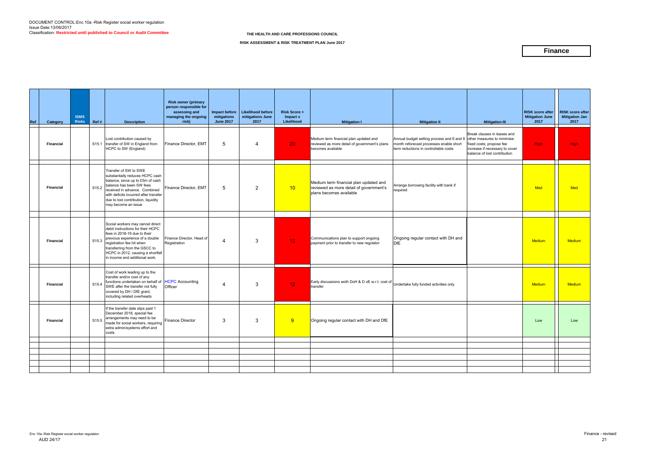| Ref | Category         | <b>ISMS</b><br><b>Risks</b> | Ref #             | <b>Description</b>                                                                                                                                                                                                                                                            | <b>Risk owner (primary</b><br>person responsible for<br>assessing and<br>managing the ongoing<br>risk) | mitigations<br><b>June 2017</b> | Impact before   Likelihood before<br>mitigations June<br>2017 | $Risk Score =$<br>Impact x<br>Likelihood | <b>Mitigation I</b>                                                                                          | <b>Mitigation II</b>                                                                                                          | <b>Mitigation III</b>                                                                                                                                   | <b>RISK score after</b><br><b>Mitigation June</b><br>2017 | <b>RISK score after</b><br><b>Mitigation Jan</b><br>2017 |
|-----|------------------|-----------------------------|-------------------|-------------------------------------------------------------------------------------------------------------------------------------------------------------------------------------------------------------------------------------------------------------------------------|--------------------------------------------------------------------------------------------------------|---------------------------------|---------------------------------------------------------------|------------------------------------------|--------------------------------------------------------------------------------------------------------------|-------------------------------------------------------------------------------------------------------------------------------|---------------------------------------------------------------------------------------------------------------------------------------------------------|-----------------------------------------------------------|----------------------------------------------------------|
|     | <b>Financial</b> |                             | S <sub>15.1</sub> | Lost contribution caused by<br>transfer of SW in England from<br>HCPC to SW (England)                                                                                                                                                                                         | Finance Director, EMT                                                                                  | 5                               | $\overline{4}$                                                | 20 <sub>1</sub>                          | Medium term financial plan updated and<br>reviewed as more detail of government's plans<br>becomes available | Annual budget setting process and 6 and 9<br>month reforecast processes enable short<br>term reductions in controllable costs | Break clauses in leases and<br>other measures to minimise<br>fixed costs; propose fee<br>increase if necessary to cover<br>balance of lost contribution | High                                                      | <b>High</b>                                              |
|     | <b>Financial</b> |                             | S <sub>15.2</sub> | Transfer of SW to SWE<br>substantially reduces HCPC cash<br>balance, since up to £5m of cash<br>balance has been SW fees<br>received in advance. Combined<br>with deficits incurred after transfer<br>due to lost contribution, liquidity<br>may become an issue              | Finance Director, EMT                                                                                  | 5                               | $\overline{2}$                                                | 10                                       | Medium term financial plan updated and<br>reviewed as more detail of government's<br>plans becomes available | Arrange borrowing facility with bank if<br>required                                                                           |                                                                                                                                                         | <b>Med</b>                                                | <b>Med</b>                                               |
|     | <b>Financial</b> |                             | S15.3             | Social workers may cancel direct<br>debit instructions for their HCPC<br>fees in 2018-19 due to their<br>previous experience of a double<br>registration fee hit when<br>transferring from the GSCC to<br>HCPC in 2012, causing a shortfall<br>in income and additional work. | Finance Director, Head of<br>Registration                                                              | $\overline{4}$                  | 3                                                             | 12                                       | Communications plan to support ongoing<br>payment prior to transfer to new regulator                         | Ongoing regular contact with DH and<br><b>DfE</b>                                                                             |                                                                                                                                                         | <b>Medium</b>                                             | <b>Medium</b>                                            |
|     | <b>Financial</b> |                             | S <sub>15.4</sub> | Cost of work leading up to the<br>transfer and/or cost of any<br>functions undertaken on behalf of HCPC Accounting<br>SWE after the transfer not fully<br>covered by DH / DfE grant,<br>including related overheads                                                           | Officer                                                                                                | 4                               | 3                                                             | 12                                       | Early discussions woth DoH & D oE w.r.t. cost of Undertake fully funded activities only<br>transfer          |                                                                                                                               |                                                                                                                                                         | <b>Medium</b>                                             | <b>Medium</b>                                            |
|     | <b>Financial</b> |                             | S15.5             | If the transfer date slips past 1<br>December 2018, special fee<br>arrangements may need to be<br>made for social workers, requiring<br>extra admin/systems effort and<br>costs                                                                                               | Finance Director                                                                                       | 3                               | 3                                                             | 9                                        | Ongoing regular contact with DH and DfE                                                                      |                                                                                                                               |                                                                                                                                                         | Low                                                       | Low                                                      |
|     |                  |                             |                   |                                                                                                                                                                                                                                                                               |                                                                                                        |                                 |                                                               |                                          |                                                                                                              |                                                                                                                               |                                                                                                                                                         |                                                           |                                                          |
|     |                  |                             |                   |                                                                                                                                                                                                                                                                               |                                                                                                        |                                 |                                                               |                                          |                                                                                                              |                                                                                                                               |                                                                                                                                                         |                                                           |                                                          |
|     |                  |                             |                   |                                                                                                                                                                                                                                                                               |                                                                                                        |                                 |                                                               |                                          |                                                                                                              |                                                                                                                               |                                                                                                                                                         |                                                           |                                                          |
|     |                  |                             |                   |                                                                                                                                                                                                                                                                               |                                                                                                        |                                 |                                                               |                                          |                                                                                                              |                                                                                                                               |                                                                                                                                                         |                                                           |                                                          |
|     |                  |                             |                   |                                                                                                                                                                                                                                                                               |                                                                                                        |                                 |                                                               |                                          |                                                                                                              |                                                                                                                               |                                                                                                                                                         |                                                           |                                                          |
|     |                  |                             |                   |                                                                                                                                                                                                                                                                               |                                                                                                        |                                 |                                                               |                                          |                                                                                                              |                                                                                                                               |                                                                                                                                                         |                                                           |                                                          |

**RISK ASSESSMENT & RISK TREATMENT PLAN June 2017**

### **Finance**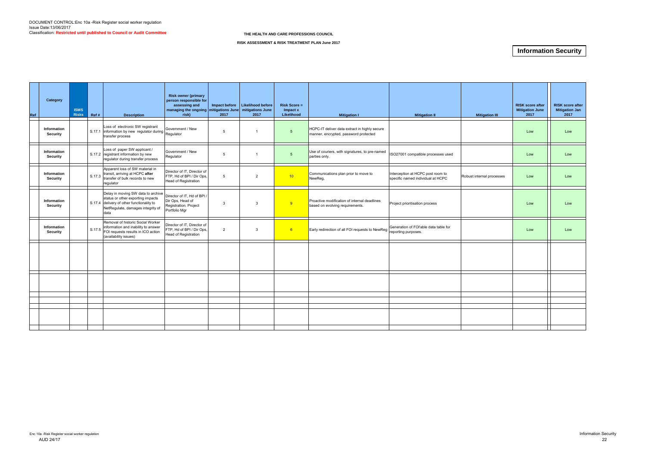| Category<br>Ref                | <b>ISMS</b><br><b>Risks</b> | Ref # | <b>Description</b>                                                                                                                                                                                                                            | <b>Risk owner (primary</b><br>person responsible for<br>assessing and<br>managing the ongoing mitigations June mitigations June<br>risk) | 2017         | Impact before   Likelihood before<br>2017 | $Risk Score =$<br>Impact x<br>Likelihood | <b>Mitigation I</b>                                                                    | <b>Mitigation II</b>                                                   | <b>Mitigation III</b>     | <b>RISK score after</b><br><b>Mitigation June</b><br>2017 | <b>RISK score after</b><br><b>Mitigation Jan</b><br>2017 |
|--------------------------------|-----------------------------|-------|-----------------------------------------------------------------------------------------------------------------------------------------------------------------------------------------------------------------------------------------------|------------------------------------------------------------------------------------------------------------------------------------------|--------------|-------------------------------------------|------------------------------------------|----------------------------------------------------------------------------------------|------------------------------------------------------------------------|---------------------------|-----------------------------------------------------------|----------------------------------------------------------|
| Information<br>Security        |                             |       | Loss of electronic SW registrant<br>$\left  \begin{array}{cc} 0.17.1 \\ \end{array} \right $ information by new regulator during $\left  \begin{array}{cc} \text{cov}_{\text{S}} \\ \text{Regulator} \end{array} \right $<br>transfer process | Government / New                                                                                                                         | 5            | $\overline{1}$                            | $5\overline{5}$                          | HCPC-IT deliver data extract in highly secure<br>manner, encrypted, password protected |                                                                        |                           | Low                                                       | Low                                                      |
| Information<br>Security        |                             |       | Loss of paper SW applicant /<br>S.17.2 registrant information by new<br>regulator during transfer process                                                                                                                                     | Government / New<br>Regulator                                                                                                            | 5            | $\overline{\phantom{a}}$                  | 5                                        | Use of couriers, with signatures, to pre-named<br>parties only.                        | ISO27001 compatible processes used                                     |                           | Low                                                       | Low                                                      |
| Information<br>Security        |                             |       | Apparent loss of SW material in<br>S.17.3 transit, arriving at HCPC after<br>transfer of bulk records to new<br>requlator                                                                                                                     | Director of IT, Director of<br>FTP, Hd of BPI / Dir Ops,<br>Head of Registration                                                         | 5            | $\overline{2}$                            | 10                                       | Communications plan prior to move to<br>NewReg,                                        | Interception at HCPC post room to<br>specific named individual at HCPC | Robust internal processes | Low                                                       | Low                                                      |
| Information<br><b>Security</b> |                             |       | Delay in moving SW data to archive<br>status or other exporting impacts<br>S.17.4 delivery of other functionality to<br>NetRegulate, damages integrity of<br>data                                                                             | Director of IT, Hd of BPI /<br>Dir Ops, Head of<br>Registration. Project<br>Portfolio Mgr                                                | $\mathbf{3}$ | $\mathbf{3}$                              | 9                                        | Proactive modification of internal deadlines<br>based on evolving requirements.        | Project prioritisation process                                         |                           | Low                                                       | Low                                                      |
| Information<br>Security        |                             |       | Removal of historic Social Worker<br>S.17.5 information and inability to answer<br>FOI requests results in ICO action<br>(availability issues)                                                                                                | Director of IT, Director of<br>FTP, Hd of BPI / Dir Ops,<br>Head of Registration                                                         | 2            | 3                                         | 6                                        | Early redirection of all FOI requests to NewReg                                        | Generation of FOI'able data table for<br>reporting purposes.           |                           | Low                                                       | Low                                                      |
|                                |                             |       |                                                                                                                                                                                                                                               |                                                                                                                                          |              |                                           |                                          |                                                                                        |                                                                        |                           |                                                           |                                                          |
|                                |                             |       |                                                                                                                                                                                                                                               |                                                                                                                                          |              |                                           |                                          |                                                                                        |                                                                        |                           |                                                           |                                                          |
|                                |                             |       |                                                                                                                                                                                                                                               |                                                                                                                                          |              |                                           |                                          |                                                                                        |                                                                        |                           |                                                           |                                                          |
|                                |                             |       |                                                                                                                                                                                                                                               |                                                                                                                                          |              |                                           |                                          |                                                                                        |                                                                        |                           |                                                           |                                                          |
|                                |                             |       |                                                                                                                                                                                                                                               |                                                                                                                                          |              |                                           |                                          |                                                                                        |                                                                        |                           |                                                           |                                                          |

#### **RISK ASSESSMENT & RISK TREATMENT PLAN June 2017**

# **Information Security**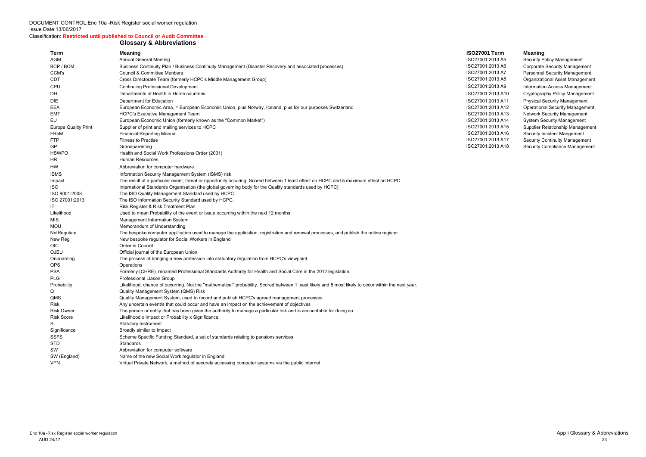DOCUMENT CONTROL:Enc 10a -Risk Register social worker regulation Issue Date:13/06/2017

#### Classification: **Restricted until published to Council or Audit Committee**

#### **Glossary & Abbreviations**

| 1 Term    |  |
|-----------|--|
| :2013 A5  |  |
| :2013 A6  |  |
| :2013 A7  |  |
| :2013 A8  |  |
| :2013 A9  |  |
| :2013 A10 |  |
| :2013 A11 |  |
| :2013 A12 |  |
| :2013 A13 |  |
| :2013 A14 |  |
| :2013 A15 |  |
| :2013 A16 |  |
| :2013 A17 |  |
| :2013 A18 |  |

001:2013 A5 Security Policy Management 001:2013 A6 Corporate Security Management 001:2013 A7 Personnel Security Management 001:2013 A8 **Cross Deamizational Asset Management** 001:2013 A9 Information Access Management 001:2013 A10 Cryptography Policy Management Department for Education ISO27001:2013 A11 Physical Security Management **Operational Security Management** 001:2013 A13 Network Security Management 001:2013 A14 System Security Management eurouma Dualier Relationship Management Supplier Relationship Management<br>1991:2013 A16 Security Incident Mangement Security Incident Mangement 001:2013 A17 Security Continuity Management 001:2013 A18 Security Compliance Management

|                             | <b>UIUSSAI J &amp; ANNI GYIALIUIIS</b>                                                                                                              |                      |             |
|-----------------------------|-----------------------------------------------------------------------------------------------------------------------------------------------------|----------------------|-------------|
| Term                        | <b>Meaning</b>                                                                                                                                      | <b>ISO27001 Term</b> | Meaning     |
| AGM                         | <b>Annual General Meeting</b>                                                                                                                       | ISO27001:2013 A5     | Security F  |
| BCP / BCM                   | Business Continuity Plan / Business Continuity Management (Disaster Recovery and associated processes)                                              | ISO27001:2013 A6     | Corporate   |
| CCM's                       | <b>Council &amp; Committee Menbers</b>                                                                                                              | ISO27001:2013 A7     | Personne    |
| <b>CDT</b>                  | Cross Directorate Team (formerly HCPC's Middle Management Group)                                                                                    | ISO27001:2013 A8     | Organizat   |
| <b>CPD</b>                  | <b>Continuing Professional Development</b>                                                                                                          | ISO27001:2013 A9     | Informatio  |
| DH                          | Departments of Health in Home countries                                                                                                             | ISO27001:2013 A10    | Cryptogra   |
| DfE                         | Department for Education                                                                                                                            | ISO27001:2013 A11    | Physical S  |
| EEA                         | European Economic Area, = European Economic Union, plus Norway, Iceland, plus for our purposes Switzerland                                          | ISO27001:2013 A12    | Operation   |
| EMT                         | <b>HCPC's Executive Management Team</b>                                                                                                             | ISO27001:2013 A13    | Network S   |
| EU                          | European Economic Union (formerly known as the "Common Market")                                                                                     | ISO27001:2013 A14    | System S    |
| <b>Europa Quality Print</b> | Supplier of print and mailing services to HCPC                                                                                                      | ISO27001:2013 A15    | Supplier F  |
| FReM                        | <b>Financial Reporting Manual</b>                                                                                                                   | ISO27001:2013 A16    | Security li |
| <b>FTP</b>                  | <b>Fitness to Practise</b>                                                                                                                          | ISO27001:2013 A17    | Security C  |
| GP                          | Grandparenting                                                                                                                                      | ISO27001:2013 A18    | Security C  |
| <b>HSWPO</b>                | Health and Social Work Professions Order (2001)                                                                                                     |                      |             |
| <b>HR</b>                   | Human Resources                                                                                                                                     |                      |             |
| HW.                         | Abbreviation for computer hardware                                                                                                                  |                      |             |
| <b>ISMS</b>                 | Information Security Management System (ISMS) risk                                                                                                  |                      |             |
| Impact                      | The result of a particular event, threat or opportunity occuring. Scored between 1 least effect on HCPC and 5 maximum effect on HCPC.               |                      |             |
| ISO.                        | International Standards Organisation (the global governing body for the Quality standards used by HCPC)                                             |                      |             |
| ISO 9001:2008               | The ISO Quality Management Standard used by HCPC.                                                                                                   |                      |             |
| ISO 27001:2013              | The ISO Information Security Standard used by HCPC.                                                                                                 |                      |             |
| IT                          | Risk Register & Risk Treatment Plan                                                                                                                 |                      |             |
| Likelihood                  | Used to mean Probability of the event or issue occurring within the next 12 months                                                                  |                      |             |
| MIS                         | Management Information System                                                                                                                       |                      |             |
| <b>MOU</b>                  | Memorandum of Understanding                                                                                                                         |                      |             |
| NetRegulate                 | The bespoke computer application used to manage the application, registration and renewal processes, and publish the online register                |                      |             |
| New Reg                     | New bespoke regulator for Social Workers in England                                                                                                 |                      |             |
| <b>OIC</b>                  | Order in Council                                                                                                                                    |                      |             |
| OJEU                        | Official journal of the European Union                                                                                                              |                      |             |
| Onboarding                  | The process of bringing a new profession into statuatory regulation from HCPC's viewpoint                                                           |                      |             |
| <b>OPS</b>                  | Operations                                                                                                                                          |                      |             |
| <b>PSA</b>                  | Formerly (CHRE), renamed Professional Standards Authority for Health and Social Care in the 2012 legislation.                                       |                      |             |
| <b>PLG</b>                  | Professional Liason Group                                                                                                                           |                      |             |
| Probability                 | Likelihood, chance of occurring. Not the "mathematical" probability. Scored between 1 least likely and 5 most likely to occur within the next year. |                      |             |
| Q                           | Quality Management System (QMS) Risk                                                                                                                |                      |             |
| QMS                         | Quality Management System, used to record and publish HCPC's agreed management processes                                                            |                      |             |
| Risk                        | Any uncertain event/s that could occur and have an impact on the achievement of objectives                                                          |                      |             |
| <b>Risk Owner</b>           | The person or entity that has been given the authority to manage a particular risk and is accountable for doing so.                                 |                      |             |
| <b>Risk Score</b>           | Likelihood x Impact or Probability x Significance                                                                                                   |                      |             |
| SI                          | <b>Statutory Instrument</b>                                                                                                                         |                      |             |
| Significance                | Broadly similar to Impact                                                                                                                           |                      |             |
| <b>SSFS</b><br><b>STD</b>   | Scheme Specific Funding Standard, a set of standards relating to pensions services<br>Standards                                                     |                      |             |
| SW                          | Abbreviation for computer software                                                                                                                  |                      |             |
| SW (England)                | Name of the new Social Work regulator in England                                                                                                    |                      |             |
| <b>VPN</b>                  | Virtual Private Network, a method of securely accessing computer systems via the public internet                                                    |                      |             |
|                             |                                                                                                                                                     |                      |             |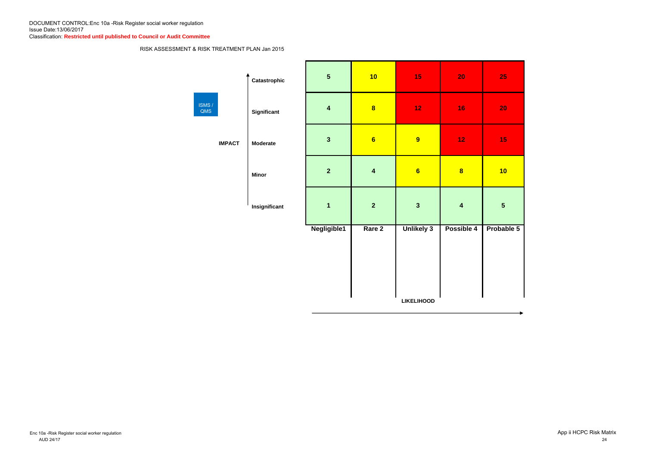### RISK ASSESSMENT & RISK TREATMENT PLAN Jan 2015

|               | Catastrophic       | 5                       | 10                      | 15                | <b>20</b>               | 25                      |  |
|---------------|--------------------|-------------------------|-------------------------|-------------------|-------------------------|-------------------------|--|
| ISMS/<br>QMS  | <b>Significant</b> | $\overline{\mathbf{4}}$ | $\overline{\mathbf{8}}$ | 12                | 16                      | 20                      |  |
| <b>IMPACT</b> | <b>Moderate</b>    | $\overline{\mathbf{3}}$ | $6\phantom{a}$          | 9                 | 12                      | 15                      |  |
|               | <b>Minor</b>       | $\overline{2}$          | $\overline{\mathbf{4}}$ | $6\phantom{a}$    | $\overline{\mathbf{8}}$ | 10                      |  |
|               | Insignificant      | $\overline{\mathbf{1}}$ | $\overline{2}$          | $\mathbf{3}$      | $\overline{\mathbf{4}}$ | $\overline{\mathbf{5}}$ |  |
|               |                    | Negligible1             | Rare 2                  | <b>Unlikely 3</b> | Possible 4              | Probal                  |  |
|               |                    |                         |                         |                   |                         |                         |  |
|               |                    |                         |                         |                   |                         |                         |  |
|               |                    |                         |                         |                   |                         |                         |  |
|               |                    |                         |                         | <b>LIKELIHOOD</b> |                         |                         |  |

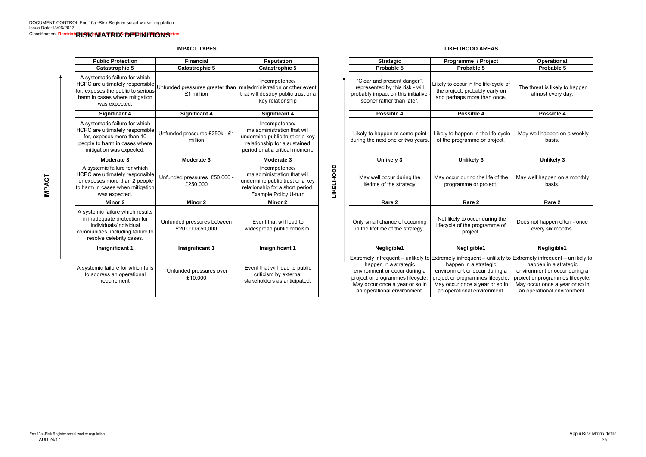**IMPACT TYPES**

**LIKELIHOOD AREAS**

| <b>Public Protection</b>                                                                                                                                    | <b>Financial</b>                                                                 | <b>Reputation</b>                                                                                                                                  |                          | <b>Strategic</b>                                                                                                                                            | Programme / Project                                                                                                                                                                                                                                         | Operational                                                                                                       |
|-------------------------------------------------------------------------------------------------------------------------------------------------------------|----------------------------------------------------------------------------------|----------------------------------------------------------------------------------------------------------------------------------------------------|--------------------------|-------------------------------------------------------------------------------------------------------------------------------------------------------------|-------------------------------------------------------------------------------------------------------------------------------------------------------------------------------------------------------------------------------------------------------------|-------------------------------------------------------------------------------------------------------------------|
| <b>Catastrophic 5</b>                                                                                                                                       | <b>Catastrophic 5</b>                                                            | <b>Catastrophic 5</b>                                                                                                                              |                          | Probable 5                                                                                                                                                  | Probable 5                                                                                                                                                                                                                                                  | Probable 5                                                                                                        |
| A systematic failure for which<br>HCPC are ultimately responsible<br>for, exposes the public to serious<br>harm in cases where mitigation<br>was expected.  | Unfunded pressures greater than   maladministration or other event<br>£1 million | Incompetence/<br>that will destroy public trust or a<br>key relationship                                                                           |                          | "Clear and present danger",<br>represented by this risk - will<br>probably impact on this initiative<br>sooner rather than later.                           | Likely to occur in the life-cycle of<br>the project, probably early on<br>and perhaps more than once.                                                                                                                                                       | The threat is likely to<br>almost every d                                                                         |
| <b>Significant 4</b>                                                                                                                                        | <b>Significant 4</b>                                                             | <b>Significant 4</b>                                                                                                                               |                          | Possible 4                                                                                                                                                  | Possible 4                                                                                                                                                                                                                                                  | Possible 4                                                                                                        |
| A systematic failure for which<br>HCPC are ultimately responsible<br>for, exposes more than 10<br>people to harm in cases where<br>mitigation was expected. | Unfunded pressures £250k - £1<br>million                                         | Incompetence/<br>maladministration that will<br>undermine public trust or a key<br>relationship for a sustained<br>period or at a critical moment. |                          | Likely to happen at some point<br>during the next one or two years.                                                                                         | Likely to happen in the life-cycle<br>of the programme or project.                                                                                                                                                                                          | May well happen on<br>basis.                                                                                      |
| Moderate 3                                                                                                                                                  | Moderate 3                                                                       | Moderate 3                                                                                                                                         |                          | <b>Unlikely 3</b>                                                                                                                                           | <b>Unlikely 3</b>                                                                                                                                                                                                                                           | <b>Unlikely 3</b>                                                                                                 |
| A systemic failure for which<br>HCPC are ultimately responsible<br>for exposes more than 2 people<br>to harm in cases when mitigation<br>was expected.      | Unfunded pressures £50,000 -<br>£250,000                                         | Incompetence/<br>maladministration that will<br>undermine public trust or a key<br>relationship for a short period.<br>Example Policy U-turn       | <b><i>LIKELIHOOD</i></b> | May well occur during the<br>lifetime of the strategy.                                                                                                      | May occur during the life of the<br>programme or project.                                                                                                                                                                                                   | May well happen on a<br>basis.                                                                                    |
| Minor 2                                                                                                                                                     | <b>Minor 2</b>                                                                   | <b>Minor 2</b>                                                                                                                                     |                          | Rare 2                                                                                                                                                      | Rare 2                                                                                                                                                                                                                                                      | Rare 2                                                                                                            |
| A systemic failure which results<br>in inadequate protection for<br>individuals/individual<br>communities, including failure to<br>resolve celebrity cases. | Unfunded pressures between<br>£20,000-£50,000                                    | Event that will lead to<br>widespread public criticism.                                                                                            |                          | Only small chance of occurring<br>in the lifetime of the strategy.                                                                                          | Not likely to occur during the<br>lifecycle of the programme of<br>project.                                                                                                                                                                                 | Does not happen ofte<br>every six mont                                                                            |
| <b>Insignificant 1</b>                                                                                                                                      | <b>Insignificant 1</b>                                                           | <b>Insignificant 1</b>                                                                                                                             |                          | Negligible1                                                                                                                                                 | Negligible1                                                                                                                                                                                                                                                 | Negligible1                                                                                                       |
| A systemic failure for which fails<br>to address an operational<br>requirement                                                                              | Unfunded pressures over<br>£10,000                                               | Event that will lead to public<br>criticism by external<br>stakeholders as anticipated.                                                            |                          | happen in a strategic<br>environment or occur during a<br>project or programmes lifecycle.<br>May occur once a year or so in<br>an operational environment. | Extremely infrequent – unlikely to Extremely infrequent – unlikely to Extremely infrequent –<br>happen in a strategic<br>environment or occur during a<br>project or programmes lifecycle.<br>May occur once a year or so in<br>an operational environment. | happen in a stra<br>environment or occur<br>project or programmes<br>May occur once a yea<br>an operational envir |

| olic Protection                                                                                                        | <b>Financial</b>                                                               | <b>Reputation</b>                                                                                                                                  |                   | <b>Strategic</b>                                                                                                                                                                                                                                                        | Programme / Project                                                                                                                                         | <b>Operational</b>                                                                                                                                          |
|------------------------------------------------------------------------------------------------------------------------|--------------------------------------------------------------------------------|----------------------------------------------------------------------------------------------------------------------------------------------------|-------------------|-------------------------------------------------------------------------------------------------------------------------------------------------------------------------------------------------------------------------------------------------------------------------|-------------------------------------------------------------------------------------------------------------------------------------------------------------|-------------------------------------------------------------------------------------------------------------------------------------------------------------|
| atastrophic 5                                                                                                          | <b>Catastrophic 5</b>                                                          | <b>Catastrophic 5</b>                                                                                                                              |                   | Probable 5                                                                                                                                                                                                                                                              | Probable 5                                                                                                                                                  | Probable 5                                                                                                                                                  |
| atic failure for which<br>ultimately responsible<br>is the public to serious<br>ases where mitigation<br>as expected.  | Jnfunded pressures greater than maladministration or other event<br>£1 million | Incompetence/<br>that will destroy public trust or a<br>key relationship                                                                           |                   | "Clear and present danger",<br>represented by this risk - will<br>probably impact on this initiative<br>sooner rather than later.                                                                                                                                       | Likely to occur in the life-cycle of<br>the project, probably early on<br>and perhaps more than once.                                                       | The threat is likely to happen<br>almost every day.                                                                                                         |
| Significant 4                                                                                                          | <b>Significant 4</b>                                                           | <b>Significant 4</b>                                                                                                                               |                   | Possible 4                                                                                                                                                                                                                                                              | Possible 4                                                                                                                                                  | Possible 4                                                                                                                                                  |
| atic failure for which<br>ultimately responsible<br>oses more than 10<br>harm in cases where<br>ion was expected.      | Unfunded pressures £250k - £1<br>million                                       | Incompetence/<br>maladministration that will<br>undermine public trust or a key<br>relationship for a sustained<br>period or at a critical moment. |                   | Likely to happen at some point<br>during the next one or two years.                                                                                                                                                                                                     | Likely to happen in the life-cycle<br>of the programme or project.                                                                                          | May well happen on a weekly<br>basis.                                                                                                                       |
| Moderate 3                                                                                                             | Moderate 3                                                                     | Moderate 3                                                                                                                                         |                   | <b>Unlikely 3</b>                                                                                                                                                                                                                                                       | <b>Unlikely 3</b>                                                                                                                                           | <b>Unlikely 3</b>                                                                                                                                           |
| nic failure for which<br>ultimately responsible<br>s more than 2 people<br>cases when mitigation<br>as expected.       | Unfunded pressures £50,000 -<br>£250,000                                       | Incompetence/<br>maladministration that will<br>undermine public trust or a key<br>relationship for a short period.<br>Example Policy U-turn       | <b>LIKELIHOOD</b> | May well occur during the<br>lifetime of the strategy.                                                                                                                                                                                                                  | May occur during the life of the<br>programme or project.                                                                                                   | May well happen on a monthly<br>basis.                                                                                                                      |
| <b>Minor 2</b>                                                                                                         | <b>Minor 2</b>                                                                 | Minor 2                                                                                                                                            |                   | Rare 2                                                                                                                                                                                                                                                                  | Rare 2                                                                                                                                                      | Rare 2                                                                                                                                                      |
| c failure which results<br>quate protection for<br>iduals/individual<br>es, including failure to<br>e celebrity cases. | Unfunded pressures between<br>£20,000-£50,000                                  | Event that will lead to<br>widespread public criticism.                                                                                            |                   | Only small chance of occurring<br>in the lifetime of the strategy.                                                                                                                                                                                                      | Not likely to occur during the<br>lifecycle of the programme of<br>project.                                                                                 | Does not happen often - once<br>every six months.                                                                                                           |
| significant 1                                                                                                          | <b>Insignificant 1</b>                                                         | <b>Insignificant 1</b>                                                                                                                             |                   | Negligible1                                                                                                                                                                                                                                                             | Negligible1                                                                                                                                                 | Negligible1                                                                                                                                                 |
| c failure for which fails<br>ess an operational<br>requirement                                                         | Unfunded pressures over<br>£10,000                                             | Event that will lead to public<br>criticism by external<br>stakeholders as anticipated.                                                            |                   | Extremely infrequent – unlikely to Extremely infrequent – unlikely to Extremely infrequent – unlikely to<br>happen in a strategic<br>environment or occur during a<br>project or programmes lifecycle.<br>May occur once a year or so in<br>an operational environment. | happen in a strategic<br>environment or occur during a<br>project or programmes lifecycle.<br>May occur once a year or so in<br>an operational environment. | happen in a strategic<br>environment or occur during a<br>project or programmes lifecycle.<br>May occur once a year or so in<br>an operational environment. |